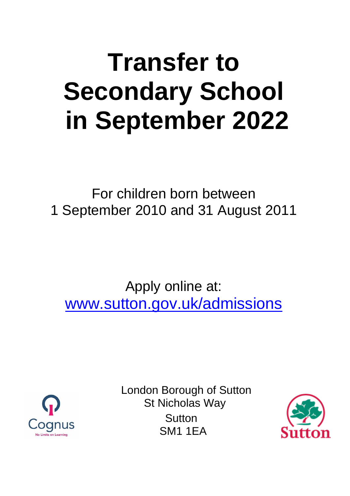# **Transfer to Secondary School in September 2022**

For children born between 1 September 2010 and 31 August 2011

Apply online at: [www.sutton.gov.uk/admissions](http://www.sutton.gov.uk/admissions)



London Borough of Sutton St Nicholas Way **Sutton** SM1 1EA

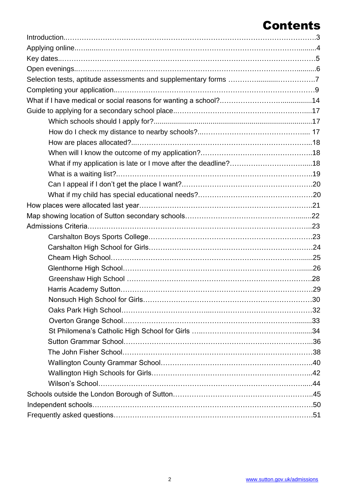# Contents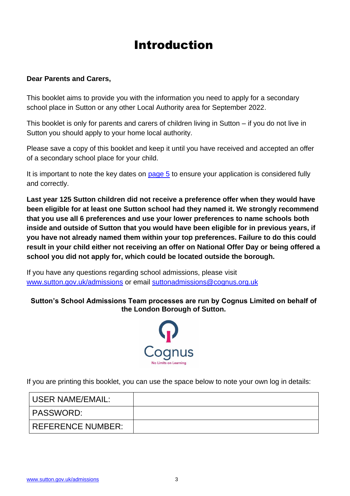# Introduction

#### **Dear Parents and Carers,**

This booklet aims to provide you with the information you need to apply for a secondary school place in Sutton or any other Local Authority area for September 2022.

This booklet is only for parents and carers of children living in Sutton – if you do not live in Sutton you should apply to your home local authority.

Please save a copy of this booklet and keep it until you have received and accepted an offer of a secondary school place for your child.

It is important to note the key dates on  $page\ 5$  to ensure your application is considered fully and correctly.

**Last year 125 Sutton children did not receive a preference offer when they would have been eligible for at least one Sutton school had they named it. We strongly recommend that you use all 6 preferences and use your lower preferences to name schools both inside and outside of Sutton that you would have been eligible for in previous years, if you have not already named them within your top preferences. Failure to do this could result in your child either not receiving an offer on National Offer Day or being offered a school you did not apply for, which could be located outside the borough.** 

If you have any questions regarding school admissions, please visit [www.sutton.gov.uk/admissions](http://www.sutton.gov.uk/admissions) or email [suttonadmissions@cognus.org.uk](mailto:suttonadmissions@cognus.org.uk)

#### **Sutton's School Admissions Team processes are run by Cognus Limited on behalf of the London Borough of Sutton.**



If you are printing this booklet, you can use the space below to note your own log in details:

<span id="page-2-0"></span>

| USER NAME/EMAIL:         |  |
|--------------------------|--|
| <b>PASSWORD:</b>         |  |
| <b>REFERENCE NUMBER:</b> |  |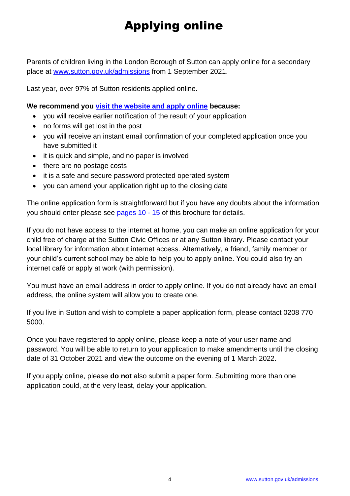# Applying online

Parents of children living in the London Borough of Sutton can apply online for a secondary place at [www.sutton.gov.uk/admissions](http://www.sutton.gov.uk/admissions) from 1 September 2021.

Last year, over 97% of Sutton residents applied online.

#### **We recommend you [visit the website and apply online](http://www.sutton.gov.uk/admissions) because:**

- you will receive earlier notification of the result of your application
- no forms will get lost in the post
- you will receive an instant email confirmation of your completed application once you have submitted it
- it is quick and simple, and no paper is involved
- there are no postage costs
- it is a safe and secure password protected operated system
- you can amend your application right up to the closing date

The online application form is straightforward but if you have any doubts about the information you should enter please see [pages 10](#page-8-0) - 15 of this brochure for details.

If you do not have access to the internet at home, you can make an online application for your child free of charge at the Sutton Civic Offices or at any Sutton library. Please contact your local library for information about internet access. Alternatively, a friend, family member or your child's current school may be able to help you to apply online. You could also try an internet café or apply at work (with permission).

You must have an email address in order to apply online. If you do not already have an email address, the online system will allow you to create one.

If you live in Sutton and wish to complete a paper application form, please contact 0208 770 5000.

Once you have registered to apply online, please keep a note of your user name and password. You will be able to return to your application to make amendments until the closing date of 31 October 2021 and view the outcome on the evening of 1 March 2022.

<span id="page-3-0"></span>If you apply online, please **do not** also submit a paper form. Submitting more than one application could, at the very least, delay your application.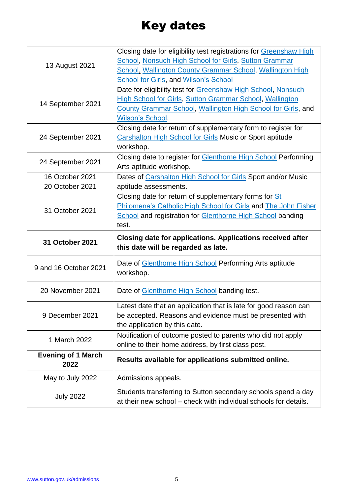# Key dates

<span id="page-4-0"></span>

|                                   | Closing date for eligibility test registrations for Greenshaw High                                                                |  |  |
|-----------------------------------|-----------------------------------------------------------------------------------------------------------------------------------|--|--|
| 13 August 2021                    | <b>School, Nonsuch High School for Girls, Sutton Grammar</b>                                                                      |  |  |
|                                   | School, Wallington County Grammar School, Wallington High                                                                         |  |  |
|                                   | <b>School for Girls, and Wilson's School</b>                                                                                      |  |  |
|                                   | Date for eligibility test for Greenshaw High School, Nonsuch                                                                      |  |  |
| 14 September 2021                 | <b>High School for Girls, Sutton Grammar School, Wallington</b>                                                                   |  |  |
|                                   | County Grammar School, Wallington High School for Girls, and                                                                      |  |  |
|                                   | <b>Wilson's School.</b>                                                                                                           |  |  |
|                                   | Closing date for return of supplementary form to register for                                                                     |  |  |
| 24 September 2021                 | <b>Carshalton High School for Girls Music or Sport aptitude</b>                                                                   |  |  |
|                                   | workshop.                                                                                                                         |  |  |
|                                   | Closing date to register for <b>Glenthorne High School</b> Performing                                                             |  |  |
| 24 September 2021                 | Arts aptitude workshop.                                                                                                           |  |  |
| 16 October 2021                   | Dates of Carshalton High School for Girls Sport and/or Music                                                                      |  |  |
| 20 October 2021                   | aptitude assessments.                                                                                                             |  |  |
|                                   | Closing date for return of supplementary forms for St                                                                             |  |  |
|                                   | Philomena's Catholic High School for Girls and The John Fisher                                                                    |  |  |
| 31 October 2021                   | <b>School and registration for Glenthorne High School banding</b>                                                                 |  |  |
|                                   | test.                                                                                                                             |  |  |
|                                   |                                                                                                                                   |  |  |
|                                   |                                                                                                                                   |  |  |
| 31 October 2021                   | <b>Closing date for applications. Applications received after</b>                                                                 |  |  |
|                                   | this date will be regarded as late.                                                                                               |  |  |
|                                   | Date of Glenthorne High School Performing Arts aptitude                                                                           |  |  |
| 9 and 16 October 2021             | workshop.                                                                                                                         |  |  |
|                                   |                                                                                                                                   |  |  |
| 20 November 2021                  | Date of Glenthorne High School banding test.                                                                                      |  |  |
|                                   |                                                                                                                                   |  |  |
|                                   | Latest date that an application that is late for good reason can                                                                  |  |  |
| 9 December 2021                   | be accepted. Reasons and evidence must be presented with                                                                          |  |  |
|                                   | the application by this date.                                                                                                     |  |  |
| 1 March 2022                      | Notification of outcome posted to parents who did not apply                                                                       |  |  |
|                                   | online to their home address, by first class post.                                                                                |  |  |
| <b>Evening of 1 March</b><br>2022 | Results available for applications submitted online.                                                                              |  |  |
| May to July 2022                  | Admissions appeals.                                                                                                               |  |  |
|                                   |                                                                                                                                   |  |  |
| <b>July 2022</b>                  | Students transferring to Sutton secondary schools spend a day<br>at their new school – check with individual schools for details. |  |  |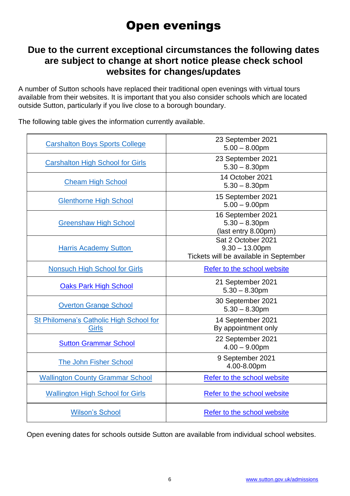# Open evenings

### **Due to the current exceptional circumstances the following dates are subject to change at short notice please check school websites for changes/updates**

A number of Sutton schools have replaced their traditional open evenings with virtual tours available from their websites. It is important that you also consider schools which are located outside Sutton, particularly if you live close to a borough boundary.

| <b>Carshalton Boys Sports College</b>                   | 23 September 2021<br>$5.00 - 8.00$ pm                                             |
|---------------------------------------------------------|-----------------------------------------------------------------------------------|
| <b>Carshalton High School for Girls</b>                 | 23 September 2021<br>$5.30 - 8.30$ pm                                             |
| <b>Cheam High School</b>                                | 14 October 2021<br>$5.30 - 8.30$ pm                                               |
| <b>Glenthorne High School</b>                           | 15 September 2021<br>$5.00 - 9.00$ pm                                             |
| <b>Greenshaw High School</b>                            | 16 September 2021<br>$5.30 - 8.30$ pm<br>(last entry 8.00pm)                      |
| <b>Harris Academy Sutton</b>                            | Sat 2 October 2021<br>$9.30 - 13.00$ pm<br>Tickets will be available in September |
| <b>Nonsuch High School for Girls</b>                    | Refer to the school website                                                       |
| <b>Oaks Park High School</b>                            | 21 September 2021<br>$5.30 - 8.30$ pm                                             |
| <b>Overton Grange School</b>                            | 30 September 2021<br>$5.30 - 8.30$ pm                                             |
| St Philomena's Catholic High School for<br><b>Girls</b> | 14 September 2021<br>By appointment only                                          |
| <b>Sutton Grammar School</b>                            | 22 September 2021<br>$4.00 - 9.00$ pm                                             |
| <b>The John Fisher School</b>                           | 9 September 2021<br>4.00-8.00pm                                                   |
| <b>Wallington County Grammar School</b>                 | Refer to the school website                                                       |
| <b>Wallington High School for Girls</b>                 | Refer to the school website                                                       |
| <b>Wilson's School</b>                                  | Refer to the school website                                                       |

The following table gives the information currently available.

Open evening dates for schools outside Sutton are available from individual school websites.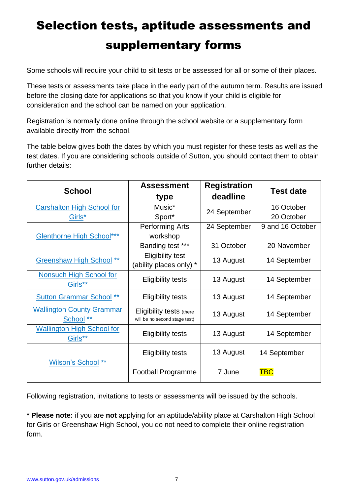# <span id="page-6-1"></span><span id="page-6-0"></span>Selection tests, aptitude assessments and supplementary forms

Some schools will require your child to sit tests or be assessed for all or some of their places.

These tests or assessments take place in the early part of the autumn term. Results are issued before the closing date for applications so that you know if your child is eligible for consideration and the school can be named on your application.

Registration is normally done online through the school website or a supplementary form available directly from the school.

The table below gives both the dates by which you must register for these tests as well as the test dates. If you are considering [schools outside of Sutton,](https://www.sutton.gov.uk/info/200439/school_admissions/1071/applying_for_secondary_school_year_7) you should contact them to obtain further details:

| <b>School</b>                                            | <b>Assessment</b><br>type                                 | <b>Registration</b><br>deadline | <b>Test date</b> |
|----------------------------------------------------------|-----------------------------------------------------------|---------------------------------|------------------|
| <b>Carshalton High School for</b>                        | Music*                                                    | 24 September                    | 16 October       |
| Girls*                                                   | Sport*                                                    |                                 | 20 October       |
|                                                          | <b>Performing Arts</b>                                    | 24 September                    | 9 and 16 October |
| <b>Glenthorne High School***</b>                         | workshop                                                  |                                 |                  |
|                                                          | Banding test ***                                          | 31 October                      | 20 November      |
| <b>Greenshaw High School **</b>                          | <b>Eligibility test</b><br>(ability places only) *        | 13 August                       | 14 September     |
| <b>Nonsuch High School for</b><br>Girls**                | <b>Eligibility tests</b>                                  | 13 August                       | 14 September     |
| <b>Sutton Grammar School</b> **                          | <b>Eligibility tests</b>                                  | 13 August                       | 14 September     |
| <b>Wallington County Grammar</b><br>School <sup>**</sup> | Eligibility tests (there<br>will be no second stage test) | 13 August                       | 14 September     |
| <b>Wallington High School for</b><br>Girls**             | <b>Eligibility tests</b>                                  | 13 August                       | 14 September     |
| Wilson's School **                                       | <b>Eligibility tests</b>                                  | 13 August                       | 14 September     |
|                                                          | Football Programme                                        | 7 June                          | <b>TBC</b>       |

Following registration, invitations to tests or assessments will be issued by the schools.

**\* Please note:** if you are **not** applying for an aptitude/ability place at Carshalton High School for Girls or Greenshaw High School, you do not need to complete their online registration form.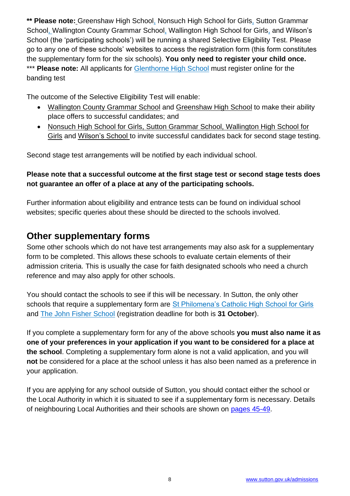**\*\* Please note:** Greenshaw High School, Nonsuch High School for Girls, Sutton Grammar School, Wallington County Grammar School, Wallington High School for Girls, and Wilson's School (the 'participating schools') will be running a shared Selective Eligibility Test. Please go to any one of these schools' websites to access the registration form (this form constitutes the supplementary form for the six schools). **You only need to register your child once.**  \*\*\* **Please note:** All applicants for [Glenthorne High School](http://www.glenthorne.sutton.sch.uk/) must register online for the banding test

The outcome of the Selective Eligibility Test will enable:

- Wallington County Grammar School and Greenshaw High School to make their ability place offers to successful candidates; and
- Nonsuch High School for Girls, Sutton Grammar School, Wallington High School for Girls and Wilson's School to invite successful candidates back for second stage testing.

Second stage test arrangements will be notified by each individual school.

### **Please note that a successful outcome at the first stage test or second stage tests does not guarantee an offer of a place at any of the participating schools.**

Further information about eligibility and entrance tests can be found on individual school websites; specific queries about these should be directed to the schools involved.

### <span id="page-7-0"></span>**Other supplementary forms**

Some other schools which do not have test arrangements may also ask for a supplementary form to be completed. This allows these schools to evaluate certain elements of their admission criteria. This is usually the case for faith designated schools who need a church reference and may also apply for other schools.

You should contact the schools to see if this will be necessary. In Sutton, the only other schools that require a supplementary form are [St Philomena's Catholic High School for Girls](http://www.stphils.org.uk/) and [The John Fisher School](http://www.johnfisherschool.org/) (registration deadline for both is **31 October**).

If you complete a supplementary form for any of the above schools **you must also name it as one of your preferences in your application if you want to be considered for a place at the school**. Completing a supplementary form alone is not a valid application, and you will **not** be considered for a place at the school unless it has also been named as a preference in your application.

If you are applying for any [school outside of Sutton,](https://www.sutton.gov.uk/info/200439/school_admissions/1071/applying_for_secondary_school_year_7) you should contact either the school or the Local Authority in which it is situated to see if a supplementary form is necessary. Details of neighbouring Local Authorities and their schools are shown on [pages 45-49.](#page-44-0)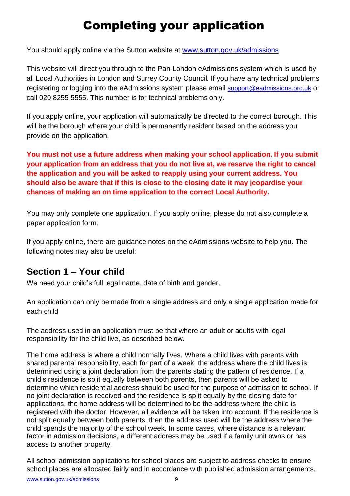# Completing your application

<span id="page-8-0"></span>You should apply online via the Sutton website at [www.sutton.gov.uk/admissions](http://www.sutton.gov.uk/admissions)

This website will direct you through to the Pan-London eAdmissions system which is used by all Local Authorities in London and Surrey County Council. If you have any technical problems registering or logging into the eAdmissions system please email [support@eadmissions.org.uk](mailto:support@eadmissions.org.uk) or call 020 8255 5555. This number is for technical problems only.

If you apply online, your application will automatically be directed to the correct borough. This will be the borough where your child is permanently resident based on the address you provide on the application.

**You must not use a future address when making your school application. If you submit your application from an address that you do not live at, we reserve the right to cancel the application and you will be asked to reapply using your current address. You should also be aware that if this is close to the closing date it may jeopardise your chances of making an on time application to the correct Local Authority.**

You may only complete one application. If you apply online, please do not also complete a paper application form.

If you apply online, there are guidance notes on the eAdmissions website to help you. The following notes may also be useful:

### <span id="page-8-1"></span>**Section 1 – Your child**

We need your child's full legal name, date of birth and gender.

An application can only be made from a single address and only a single application made for each child

The address used in an application must be that where an adult or adults with legal responsibility for the child live, as described below.

The home address is where a child normally lives. Where a child lives with parents with shared parental responsibility, each for part of a week, the address where the child lives is determined using a joint declaration from the parents stating the pattern of residence. If a child's residence is split equally between both parents, then parents will be asked to determine which residential address should be used for the purpose of admission to school. If no joint declaration is received and the residence is split equally by the closing date for applications, the home address will be determined to be the address where the child is registered with the doctor. However, all evidence will be taken into account. If the residence is not split equally between both parents, then the address used will be the address where the child spends the majority of the school week. In some cases, where distance is a relevant factor in admission decisions, a different address may be used if a family unit owns or has access to another property.

All school admission applications for school places are subject to address checks to ensure school places are allocated fairly and in accordance with published admission arrangements.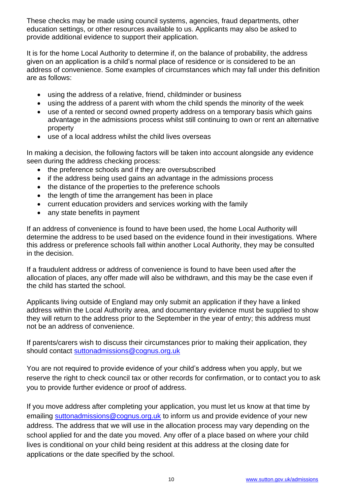These checks may be made using council systems, agencies, fraud departments, other education settings, or other resources available to us. Applicants may also be asked to provide additional evidence to support their application.

It is for the home Local Authority to determine if, on the balance of probability, the address given on an application is a child's normal place of residence or is considered to be an address of convenience. Some examples of circumstances which may fall under this definition are as follows:

- using the address of a relative, friend, childminder or business
- using the address of a parent with whom the child spends the minority of the week
- use of a rented or second owned property address on a temporary basis which gains advantage in the admissions process whilst still continuing to own or rent an alternative property
- use of a local address whilst the child lives overseas

In making a decision, the following factors will be taken into account alongside any evidence seen during the address checking process:

- the preference schools and if they are oversubscribed
- if the address being used gains an advantage in the admissions process
- the distance of the properties to the preference schools
- the length of time the arrangement has been in place
- current education providers and services working with the family
- any state benefits in payment

If an address of convenience is found to have been used, the home Local Authority will determine the address to be used based on the evidence found in their investigations. Where this address or preference schools fall within another Local Authority, they may be consulted in the decision.

If a fraudulent address or address of convenience is found to have been used after the allocation of places, any offer made will also be withdrawn, and this may be the case even if the child has started the school.

Applicants living outside of England may only submit an application if they have a linked address within the Local Authority area, and documentary evidence must be supplied to show they will return to the address prior to the September in the year of entry; this address must not be an address of convenience.

If parents/carers wish to discuss their circumstances prior to making their application, they should contact [suttonadmissions@cognus.org.uk](mailto:suttonadmissions@cognus.org.uk)

You are not required to provide evidence of your child's address when you apply, but we reserve the right to check council tax or other records for confirmation, or to contact you to ask you to provide further evidence or proof of address.

If you move address after completing your application, you must let us know at that time by emailing [suttonadmissions@cognus.org.uk](mailto:suttonadmissions@cognus.org.uk) to inform us and provide evidence of your new address. The address that we will use in the allocation process may vary depending on the school applied for and the date you moved. Any offer of a place based on where your child lives is conditional on your child being resident at this address at the closing date for applications or the date specified by the school.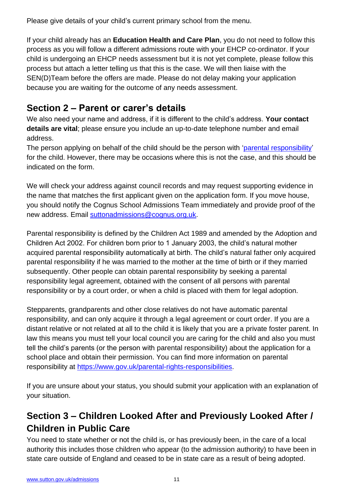Please give details of your child's current primary school from the menu.

If your child already has an **Education Health and Care Plan**, you do not need to follow this process as you will follow a different admissions route with your EHCP co-ordinator. If your child is undergoing an EHCP needs assessment but it is not yet complete, please follow this process but attach a letter telling us that this is the case. We will then liaise with the SEN(D)Team before the offers are made. Please do not delay making your application because you are waiting for the outcome of any needs assessment.

### **Section 2 – Parent or carer's details**

We also need your name and address, if it is different to the child's address. **Your contact details are vital**; please ensure you include an up-to-date telephone number and email address.

The person applying on behalf of the child should be the person with ['parental responsibility'](https://www.gov.uk/parental-rights-responsibilities) for the child. However, there may be occasions where this is not the case, and this should be indicated on the form.

We will check your address against council records and may request supporting evidence in the name that matches the first applicant given on the application form. If you move house, you should notify the Cognus School Admissions Team immediately and provide proof of the new address. Email [suttonadmissions@cognus.org.uk.](mailto:suttonadmissions@cognus.org.uk)

Parental responsibility is defined by the Children Act 1989 and amended by the Adoption and Children Act 2002. For children born prior to 1 January 2003, the child's natural mother acquired parental responsibility automatically at birth. The child's natural father only acquired parental responsibility if he was married to the mother at the time of birth or if they married subsequently. Other people can obtain parental responsibility by seeking a parental responsibility legal agreement, obtained with the consent of all persons with parental responsibility or by a court order, or when a child is placed with them for legal adoption.

Stepparents, grandparents and other close relatives do not have automatic parental responsibility, and can only acquire it through a legal agreement or court order. If you are a distant relative or not related at all to the child it is likely that you are a private foster parent. In law this means you must tell your local council you are caring for the child and also you must tell the child's parents (or the person with parental responsibility) about the application for a school place and obtain their permission. You can find more information on parental responsibility at [https://www.gov.uk/parental-rights-responsibilities.](https://www.gov.uk/parental-rights-responsibilities)

<span id="page-10-1"></span>If you are unsure about your status, you should submit your application with an explanation of your situation.

# <span id="page-10-0"></span>**Section 3 – Children Looked After and Previously Looked After / Children in Public Care**

You need to state whether or not the child is, or has previously been, in the care of a local authority this includes those children who appear (to the admission authority) to have been in state care outside of England and ceased to be in state care as a result of being adopted.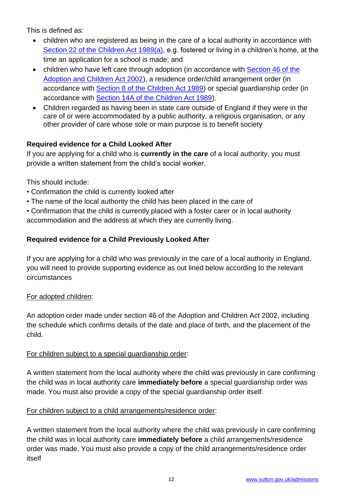This is defined as:

- children who are registered as being in the care of a local authority in accordance with [Section 22 of the Children Act 1989\(a\),](http://www.legislation.gov.uk/ukpga/1989/41/section/22A) e.g. fostered or living in a children's home, at the time an application for a school is made; and
- children who have left care through adoption (in accordance with Section 46 of the [Adoption and Children Act 2002\)](http://www.legislation.gov.uk/ukpga/2002/38/section/46), a residence order/child arrangement order (in accordance with [Section 8 of the Children Act 1989\)](http://www.legislation.gov.uk/ukpga/1989/41/section/8) or special guardianship order (in accordance with [Section 14A of the Children Act 1989\)](http://www.legislation.gov.uk/ukpga/1989/41/section/14A).
- Children regarded as having been in state care outside of England if they were in the care of or were accommodated by a public authority, a religious organisation, or any other provider of care whose sole or main purpose is to benefit society

### **Required evidence for a Child Looked After**

If you are applying for a child who is **currently in the care** of a local authority, you must provide a written statement from the child's social worker.

This should include:

- Confirmation the child is currently looked after
- The name of the local authority the child has been placed in the care of

• Confirmation that the child is currently placed with a foster carer or in local authority accommodation and the address at which they are currently living.

### **Required evidence for a Child Previously Looked After**

If you are applying for a child who was previously in the care of a local authority in England, you will need to provide supporting evidence as out lined below according to the relevant circumstances

### For adopted children:

An adoption order made under section 46 of the Adoption and Children Act 2002, including the schedule which confirms details of the date and place of birth, and the placement of the child.

### For children subject to a special guardianship order:

A written statement from the local authority where the child was previously in care confirming the child was in local authority care **immediately before** a special guardianship order was made. You must also provide a copy of the special guardianship order itself.

### For children subject to a child arrangements/residence order:

A written statement from the local authority where the child was previously in care confirming the child was in local authority care **immediately before** a child arrangements/residence order was made. You must also provide a copy of the child arrangements/residence order itself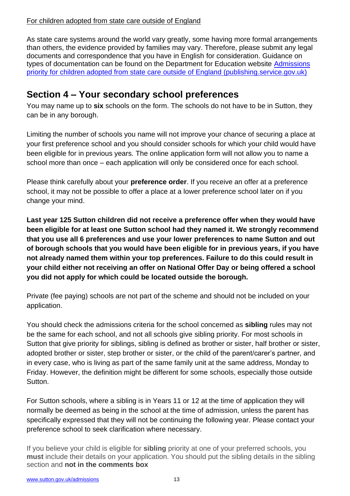#### For children adopted from state care outside of England

As state care systems around the world vary greatly, some having more formal arrangements than others, the evidence provided by families may vary. Therefore, please submit any legal documents and correspondence that you have in English for consideration. Guidance on types of documentation can be found on the Department for Education website [Admissions](https://assets.publishing.service.gov.uk/government/uploads/system/uploads/attachment_data/file/1001066/Admissions_priority_for_children_adopted_from_state_care_outside_of_England.pdf)  [priority for children adopted from state care outside of England \(publishing.service.gov.uk\)](https://assets.publishing.service.gov.uk/government/uploads/system/uploads/attachment_data/file/1001066/Admissions_priority_for_children_adopted_from_state_care_outside_of_England.pdf)

### **Section 4 – Your secondary school preferences**

You may name up to **six** schools on the form. The schools do not have to be in Sutton, they can be in any borough.

Limiting the number of schools you name will not improve your chance of securing a place at your first preference school and you should consider schools for which your child would have been eligible for in previous years. The online application form will not allow you to name a school more than once – each application will only be considered once for each school.

Please think carefully about your **preference order**. If you receive an offer at a preference school, it may not be possible to offer a place at a lower preference school later on if you change your mind.

**Last year 125 Sutton children did not receive a preference offer when they would have been eligible for at least one Sutton school had they named it. We strongly recommend that you use all 6 preferences and use your lower preferences to name Sutton and out of borough schools that you would have been eligible for in previous years, if you have not already named them within your top preferences. Failure to do this could result in your child either not receiving an offer on National Offer Day or being offered a school you did not apply for which could be located outside the borough.** 

Private (fee paying) schools are not part of the scheme and should not be included on your application.

<span id="page-12-0"></span>You should check the admissions criteria for the school concerned as **sibling** rules may not be the same for each school, and not all schools give sibling priority. For most schools in Sutton that give priority for siblings, sibling is defined as brother or sister, half brother or sister, adopted brother or sister, step brother or sister, or the child of the parent/carer's partner, and in every case, who is living as part of the same family unit at the same address, Monday to Friday. However, the definition might be different for some schools, especially those outside Sutton.

For Sutton schools, where a sibling is in Years 11 or 12 at the time of application they will normally be deemed as being in the school at the time of admission, unless the parent has specifically expressed that they will not be continuing the following year. Please contact your preference school to seek clarification where necessary.

If you believe your child is eligible for **sibling** priority at one of your preferred schools, you **must** include their details on your application. You should put the sibling details in the sibling section and **not in the comments box**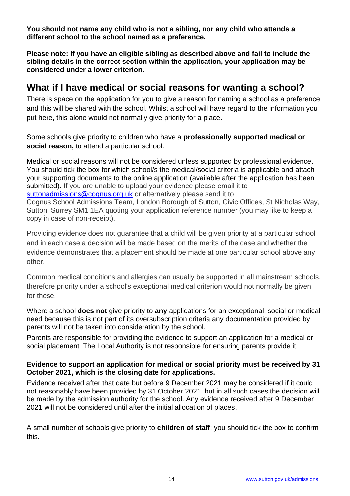**You should not name any child who is not a sibling, nor any child who attends a different school to the school named as a preference.**

**Please note: If you have an eligible sibling as described above and fail to include the sibling details in the correct section within the application, your application may be considered under a lower criterion.**

### <span id="page-13-0"></span>**What if I have medical or social reasons for wanting a school?**

There is space on the application for you to give a reason for naming a school as a preference and this will be shared with the school. Whilst a school will have regard to the information you put here, this alone would not normally give priority for a place.

Some schools give priority to children who have a **professionally supported medical or social reason,** to attend a particular school.

Medical or social reasons will not be considered unless supported by professional evidence. You should tick the box for which school/s the medical/social criteria is applicable and attach your supporting documents to the online application (available after the application has been submitted). If you are unable to upload your evidence please email it to [suttonadmissions@cognus.org.uk](mailto:suttonadmissions@cognus.org.uk) or alternatively please send it to Cognus School Admissions Team, London Borough of Sutton, Civic Offices, St Nicholas Way, Sutton, Surrey SM1 1EA quoting your application reference number (you may like to keep a copy in case of non-receipt).

Providing evidence does not guarantee that a child will be given priority at a particular school and in each case a decision will be made based on the merits of the case and whether the evidence demonstrates that a placement should be made at one particular school above any other.

Common medical conditions and allergies can usually be supported in all mainstream schools, therefore priority under a school's exceptional medical criterion would not normally be given for these.

Where a school **does not** give priority to **any** applications for an exceptional, social or medical need because this is not part of its oversubscription criteria any documentation provided by parents will not be taken into consideration by the school.

Parents are responsible for providing the evidence to support an application for a medical or social placement. The Local Authority is not responsible for ensuring parents provide it.

#### **Evidence to support an application for medical or social priority must be received by 31 October 2021, which is the closing date for applications.**

Evidence received after that date but before 9 December 2021 may be considered if it could not reasonably have been provided by 31 October 2021, but in all such cases the decision will be made by the admission authority for the school. Any evidence received after 9 December 2021 will not be considered until after the initial allocation of places.

A small number of schools give priority to **children of staff**; you should tick the box to confirm this.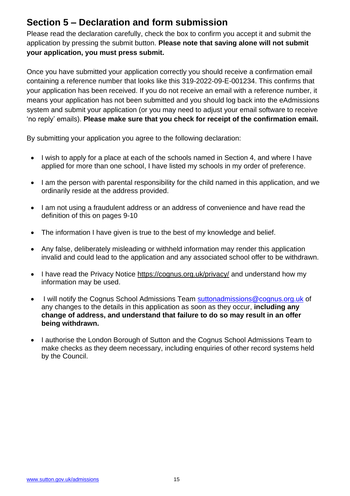### **Section 5 – Declaration and form submission**

Please read the declaration carefully, check the box to confirm you accept it and submit the application by pressing the submit button. **Please note that saving alone will not submit your application, you must press submit.**

Once you have submitted your application correctly you should receive a confirmation email containing a reference number that looks like this 319-2022-09-E-001234. This confirms that your application has been received. If you do not receive an email with a reference number, it means your application has not been submitted and you should log back into the eAdmissions system and submit your application (or you may need to adjust your email software to receive 'no reply' emails). **Please make sure that you check for receipt of the confirmation email.**

By submitting your application you agree to the following declaration:

- I wish to apply for a place at each of the schools named in Section 4, and where I have applied for more than one school, I have listed my schools in my order of preference.
- I am the person with parental responsibility for the child named in this application, and we ordinarily reside at the address provided.
- I am not using a fraudulent address or an address of convenience and have read the definition of this on pages 9-10
- The information I have given is true to the best of my knowledge and belief.
- Any false, deliberately misleading or withheld information may render this application invalid and could lead to the application and any associated school offer to be withdrawn.
- I have read the Privacy Notice<https://cognus.org.uk/privacy/> and understand how my information may be used.
- I will notify the Cognus School Admissions Team [suttonadmissions@cognus.org.uk](mailto:suttonadmissions@cognus.org.uk) of any changes to the details in this application as soon as they occur, **including any change of address, and understand that failure to do so may result in an offer being withdrawn.**
- I authorise the London Borough of Sutton and the Cognus School Admissions Team to make checks as they deem necessary, including enquiries of other record systems held by the Council.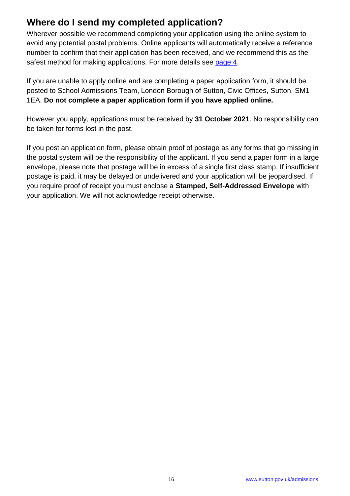### **Where do I send my completed application?**

Wherever possible we recommend completing your application using the online system to avoid any potential postal problems. Online applicants will automatically receive a reference number to confirm that their application has been received, and we recommend this as the safest method for making applications. For more details see [page 4.](#page-2-0)

If you are unable to apply online and are completing a paper application form, it should be posted to School Admissions Team, London Borough of Sutton, Civic Offices, Sutton, SM1 1EA. **Do not complete a paper application form if you have applied online.**

However you apply, applications must be received by **31 October 2021**. No responsibility can be taken for forms lost in the post.

If you post an application form, please obtain proof of postage as any forms that go missing in the postal system will be the responsibility of the applicant. If you send a paper form in a large envelope, please note that postage will be in excess of a single first class stamp. If insufficient postage is paid, it may be delayed or undelivered and your application will be jeopardised. If you require proof of receipt you must enclose a **Stamped, Self-Addressed Envelope** with your application. We will not acknowledge receipt otherwise.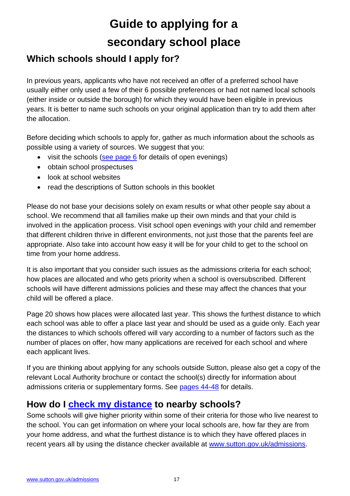# **Guide to applying for a secondary school place**

### **Which schools should I apply for?**

In previous years, applicants who have not received an offer of a preferred school have usually either only used a few of their 6 possible preferences or had not named local schools (either inside or outside the borough) for which they would have been eligible in previous years. It is better to name such schools on your original application than try to add them after the allocation.

Before deciding which schools to apply for, gather as much information about the schools as possible using a variety of sources. We suggest that you:

- visit the schools (see page  $6$  for details of open evenings)
- obtain school prospectuses
- look at school websites
- read the descriptions of Sutton schools in this booklet

Please do not base your decisions solely on exam results or what other people say about a school. We recommend that all families make up their own minds and that your child is involved in the application process. Visit school open evenings with your child and remember that different children thrive in different environments, not just those that the parents feel are appropriate. Also take into account how easy it will be for your child to get to the school on time from your home address.

It is also important that you consider such issues as the admissions criteria for each school; how places are allocated and who gets priority when a school is oversubscribed. Different schools will have different admissions policies and these may affect the chances that your child will be offered a place.

Page 20 shows how places were allocated last year. This shows the furthest distance to which each school was able to offer a place last year and should be used as a guide only. Each year the distances to which schools offered will vary according to a number of factors such as the number of places on offer, how many applications are received for each school and where each applicant lives.

If you are thinking about applying for any [schools outside Sutton,](https://www.sutton.gov.uk/info/200439/school_admissions/1071/applying_for_secondary_school_year_7) please also get a copy of the relevant Local Authority brochure or contact the school(s) directly for information about admissions criteria or supplementary forms. See [pages 44-48](#page-44-0) for details.

### **How do I [check my distance](https://www.sutton.gov.uk/info/200439/school_admissions/1088/distance_to_school_checker) to nearby schools?**

Some schools will give higher priority within some of their criteria for those who live nearest to the school. You can get information on where your local schools are, how far they are from your home address, and what the furthest distance is to which they have offered places in recent years all by using the distance checker available at [www.sutton.gov.uk/admissions.](http://www.sutton.gov.uk/admissions)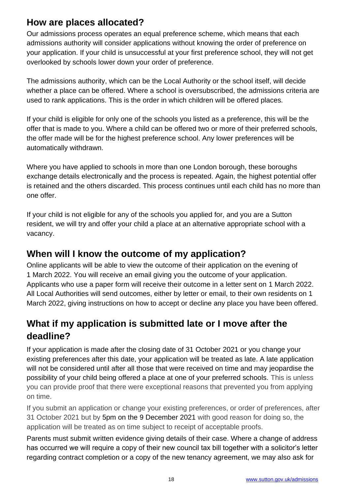### <span id="page-17-0"></span>**How are places allocated?**

Our admissions process operates an equal preference scheme, which means that each admissions authority will consider applications without knowing the order of preference on your application. If your child is unsuccessful at your first preference school, they will not get overlooked by schools lower down your order of preference.

The admissions authority, which can be the Local Authority or the school itself, will decide whether a place can be offered. Where a school is oversubscribed, the admissions criteria are used to rank applications. This is the order in which children will be offered places.

If your child is eligible for only one of the schools you listed as a preference, this will be the offer that is made to you. Where a child can be offered two or more of their preferred schools, the offer made will be for the highest preference school. Any lower preferences will be automatically withdrawn.

Where you have applied to schools in more than one London borough, these boroughs exchange details electronically and the process is repeated. Again, the highest potential offer is retained and the others discarded. This process continues until each child has no more than one offer.

If your child is not eligible for any of the schools you applied for, and you are a Sutton resident, we will try and offer your child a place at an alternative appropriate school with a vacancy.

### **When will I know the outcome of my application?**

Online applicants will be able to view the outcome of their application on the evening of 1 March 2022. You will receive an email giving you the outcome of your application. Applicants who use a paper form will receive their outcome in a letter sent on 1 March 2022. All Local Authorities will send outcomes, either by letter or email, to their own residents on 1 March 2022, giving instructions on how to accept or decline any place you have been offered.

# **What if my application is submitted late or I move after the deadline?**

If your application is made after the closing date of 31 October 2021 or you change your existing preferences after this date, your application will be treated as late. A late application will not be considered until after all those that were received on time and may jeopardise the possibility of your child being offered a place at one of your preferred schools. This is unless you can provide proof that there were exceptional reasons that prevented you from applying on time.

If you submit an application or change your existing preferences, or order of preferences, after 31 October 2021 but by 5pm on the 9 December 2021 with good reason for doing so, the application will be treated as on time subject to receipt of acceptable proofs.

Parents must submit written evidence giving details of their case. Where a change of address has occurred we will require a copy of their new council tax bill together with a solicitor's letter regarding contract completion or a copy of the new tenancy agreement, we may also ask for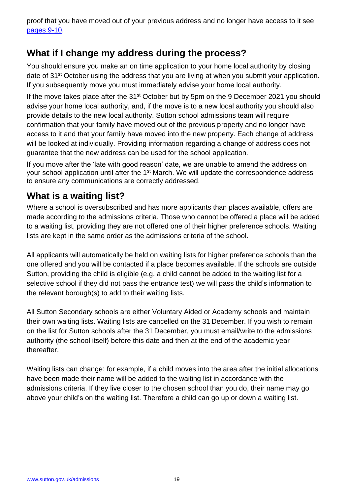proof that you have moved out of your previous address and no longer have access to it see [pages 9-10.](#page-8-1)

### **What if I change my address during the process?**

You should ensure you make an on time application to your home local authority by closing date of 31<sup>st</sup> October using the address that you are living at when you submit your application. If you subsequently move you must immediately advise your home local authority.

If the move takes place after the  $31<sup>st</sup>$  October but by 5pm on the 9 December 2021 you should advise your home local authority, and, if the move is to a new local authority you should also provide details to the new local authority. Sutton school admissions team will require confirmation that your family have moved out of the previous property and no longer have access to it and that your family have moved into the new property. Each change of address will be looked at individually. Providing information regarding a change of address does not guarantee that the new address can be used for the school application.

If you move after the 'late with good reason' date, we are unable to amend the address on your school application until after the 1<sup>st</sup> March. We will update the correspondence address to ensure any communications are correctly addressed.

### **What is a waiting list?**

Where a school is oversubscribed and has more applicants than places available, offers are made according to the admissions criteria. Those who cannot be offered a place will be added to a waiting list, providing they are not offered one of their higher preference schools. Waiting lists are kept in the same order as the admissions criteria of the school.

All applicants will automatically be held on waiting lists for higher preference schools than the one offered and you will be contacted if a place becomes available. If the schools are outside Sutton, providing the child is eligible (e.g. a child cannot be added to the waiting list for a selective school if they did not pass the entrance test) we will pass the child's information to the relevant borough(s) to add to their waiting lists.

All Sutton Secondary schools are either Voluntary Aided or Academy schools and maintain their own waiting lists. Waiting lists are cancelled on the 31 December. If you wish to remain on the list for Sutton schools after the 31 December, you must email/write to the admissions authority (the school itself) before this date and then at the end of the academic year thereafter.

<span id="page-18-0"></span>Waiting lists can change: for example, if a child moves into the area after the initial allocations have been made their name will be added to the waiting list in accordance with the admissions criteria. If they live closer to the chosen school than you do, their name may go above your child's on the waiting list. Therefore a child can go up or down a waiting list.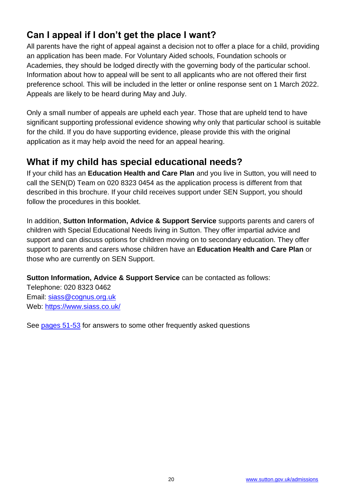### **Can I appeal if I don't get the place I want?**

All parents have the right of appeal against a decision not to offer a place for a child, providing an application has been made. For Voluntary Aided schools, Foundation schools or Academies, they should be lodged directly with the governing body of the particular school. Information about how to appeal will be sent to all applicants who are not offered their first preference school. This will be included in the letter or online response sent on 1 March 2022. Appeals are likely to be heard during May and July.

Only a small number of appeals are upheld each year. Those that are upheld tend to have significant supporting professional evidence showing why only that particular school is suitable for the child. If you do have supporting evidence, please provide this with the original application as it may help avoid the need for an appeal hearing.

### **What if my child has special educational needs?**

If your child has an **Education Health and Care Plan** and you live in Sutton, you will need to call the SEN(D) Team on 020 8323 0454 as the application process is different from that described in this brochure. If your child receives support under SEN Support, you should follow the procedures in this booklet.

In addition, **Sutton Information, Advice & Support Service** supports parents and carers of children with Special Educational Needs living in Sutton. They offer impartial advice and support and can discuss options for children moving on to secondary education. They offer support to parents and carers whose children have an **Education Health and Care Plan** or those who are currently on SEN Support.

**Sutton Information, Advice & Support Service** can be contacted as follows:

Telephone: 020 8323 0462 Email: [siass@cognus.org.uk](mailto:siass@cognus.org.uk) Web:<https://www.siass.co.uk/>

See [pages 51-53](#page-50-0) for answers to some other frequently asked questions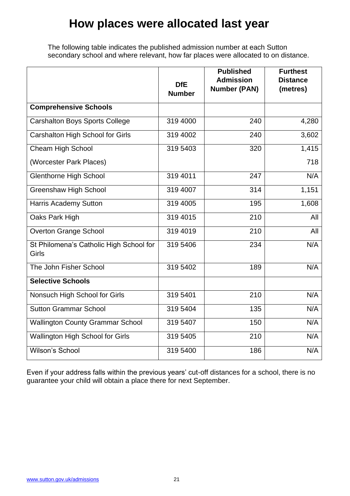# **How places were allocated last year**

The following table indicates the published admission number at each Sutton secondary school and where relevant, how far places were allocated to on distance.

|                                                  | <b>DfE</b><br><b>Number</b> | <b>Published</b><br><b>Admission</b><br><b>Number (PAN)</b> | <b>Furthest</b><br><b>Distance</b><br>(metres) |
|--------------------------------------------------|-----------------------------|-------------------------------------------------------------|------------------------------------------------|
| <b>Comprehensive Schools</b>                     |                             |                                                             |                                                |
| <b>Carshalton Boys Sports College</b>            | 319 4000                    | 240                                                         | 4,280                                          |
| Carshalton High School for Girls                 | 319 4002                    | 240                                                         | 3,602                                          |
| <b>Cheam High School</b>                         | 319 5403                    | 320                                                         | 1,415                                          |
| (Worcester Park Places)                          |                             |                                                             | 718                                            |
| <b>Glenthorne High School</b>                    | 319 4011                    | 247                                                         | N/A                                            |
| <b>Greenshaw High School</b>                     | 319 4007                    | 314                                                         | 1,151                                          |
| <b>Harris Academy Sutton</b>                     | 319 4005                    | 195                                                         | 1,608                                          |
| Oaks Park High                                   | 319 4015                    | 210                                                         | All                                            |
| <b>Overton Grange School</b>                     | 319 4019                    | 210                                                         | All                                            |
| St Philomena's Catholic High School for<br>Girls | 319 5406                    | 234                                                         | N/A                                            |
| The John Fisher School                           | 319 5402                    | 189                                                         | N/A                                            |
| <b>Selective Schools</b>                         |                             |                                                             |                                                |
| Nonsuch High School for Girls                    | 319 5401                    | 210                                                         | N/A                                            |
| <b>Sutton Grammar School</b>                     | 319 5404                    | 135                                                         | N/A                                            |
| <b>Wallington County Grammar School</b>          | 319 5407                    | 150                                                         | N/A                                            |
| Wallington High School for Girls                 | 319 5405                    | 210                                                         | N/A                                            |
| Wilson's School                                  | 319 5400                    | 186                                                         | N/A                                            |

Even if your address falls within the previous years' cut-off distances for a school, there is no guarantee your child will obtain a place there for next September.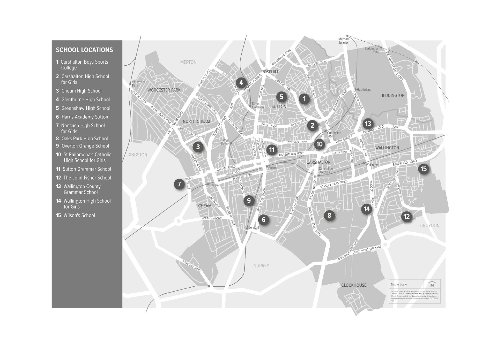#### **SCHOOL LOCATIONS**

- 1 Carshalton Boys Sports College
- 2 Carshalton High School for Girls
- 3 Cheam High School
- 4 Glenthorne High School
- 5 Greenshaw High School
- 6 Harris Academy Sutton
- 7 Nonsuch High School for Girls
- 8 Oaks Park High School
- 9 Overton Grange School
- 10 St Philomena's Catholic High School for Girls
- 11 Sutton Grammar School
- 12 The John Fisher School
- 13 Wallington County Grammar School
- 14 Wallington High School for Girls
- 15 Wilson's School

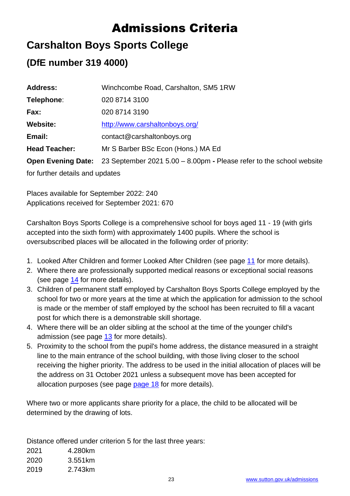# Admissions Criteria

# **Carshalton Boys Sports College**

### **(DfE number 319 4000)**

| <b>Address:</b>                 | Winchcombe Road, Carshalton, SM5 1RW                                   |  |  |
|---------------------------------|------------------------------------------------------------------------|--|--|
| Telephone:                      | 020 8714 3100                                                          |  |  |
| Fax:                            | 020 8714 3190                                                          |  |  |
| <b>Website:</b>                 | http://www.carshaltonboys.org/                                         |  |  |
| Email:                          | contact@carshaltonboys.org                                             |  |  |
| <b>Head Teacher:</b>            | Mr S Barber BSc Econ (Hons.) MA Ed                                     |  |  |
| <b>Open Evening Date:</b>       | 23 September 2021 5.00 $-$ 8.00pm - Please refer to the school website |  |  |
| for further details and updates |                                                                        |  |  |

Places available for September 2022: 240 Applications received for September 2021: 670

Carshalton Boys Sports College is a comprehensive school for boys aged 11 - 19 (with girls accepted into the sixth form) with approximately 1400 pupils. Where the school is oversubscribed places will be allocated in the following order of priority:

- 1. Looked After Children and former Looked After Children (see page [11](#page-10-0) for more details).
- 2. Where there are professionally supported medical reasons or exceptional social reasons (see page [14](#page-13-0) for more details).
- 3. Children of permanent staff employed by Carshalton Boys Sports College employed by the school for two or more years at the time at which the application for admission to the school is made or the member of staff employed by the school has been recruited to fill a vacant post for which there is a demonstrable skill shortage.
- 4. Where there will be an older sibling at the school at the time of the younger child's admission (see page [13](#page-12-0) for more details).
- 5. Proximity to the school from the pupil's home address, the distance measured in a straight line to the main entrance of the school building, with those living closer to the school receiving the higher priority. The address to be used in the initial allocation of places will be the address on 31 October 2021 unless a subsequent move has been accepted for allocation purposes (see page [page 18](#page-17-0) for more details).

Where two or more applicants share priority for a place, the child to be allocated will be determined by the drawing of lots.

Distance offered under criterion 5 for the last three years:

2021 4.280km 2020 3.551km 2019 2.743km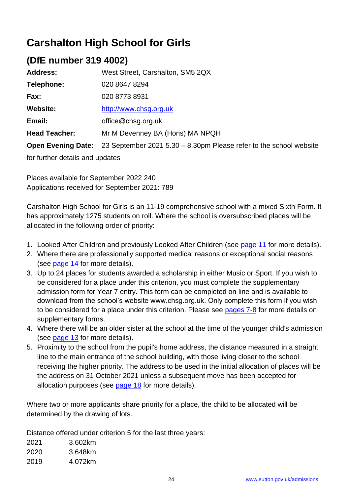# **Carshalton High School for Girls**

### **(DfE number 319 4002)**

| <b>Address:</b>                 | West Street, Carshalton, SM5 2QX                                     |  |
|---------------------------------|----------------------------------------------------------------------|--|
| Telephone:                      | 020 8647 8294                                                        |  |
| Fax:                            | 020 8773 8931                                                        |  |
| <b>Website:</b>                 | http://www.chsg.org.uk                                               |  |
| Email:                          | office@chsq.org.uk                                                   |  |
| <b>Head Teacher:</b>            | Mr M Devenney BA (Hons) MA NPQH                                      |  |
| <b>Open Evening Date:</b>       | 23 September 2021 5.30 $-$ 8.30pm Please refer to the school website |  |
| for further details and updates |                                                                      |  |

Places available for September 2022 240 Applications received for September 2021: 789

Carshalton High School for Girls is an 11-19 comprehensive school with a mixed Sixth Form. It has approximately 1275 students on roll. Where the school is oversubscribed places will be allocated in the following order of priority:

- 1. Looked After Children and previously Looked After Children (see [page 11](#page-10-1) for more details).
- 2. Where there are professionally supported medical reasons or exceptional social reasons (see [page 14](#page-13-0) for more details).
- 3. Up to 24 places for students awarded a scholarship in either Music or Sport. If you wish to be considered for a place under this criterion, you must complete the supplementary admission form for Year 7 entry. This form can be completed on line and is available to download from the school's website www.chsg.org.uk. Only complete this form if you wish to be considered for a place under this criterion. Please see [pages 7-](#page-6-0)8 for more details on supplementary forms.
- 4. Where there will be an older sister at the school at the time of the younger child's admission (see [page 13](#page-12-0) for more details).
- 5. Proximity to the school from the pupil's home address, the distance measured in a straight line to the main entrance of the school building, with those living closer to the school receiving the higher priority. The address to be used in the initial allocation of places will be the address on 31 October 2021 unless a subsequent move has been accepted for allocation purposes (see [page 18](#page-17-0) for more details).

Where two or more applicants share priority for a place, the child to be allocated will be determined by the drawing of lots.

Distance offered under criterion 5 for the last three years:

2021 3.602km 2020 3.648km 2019 4.072km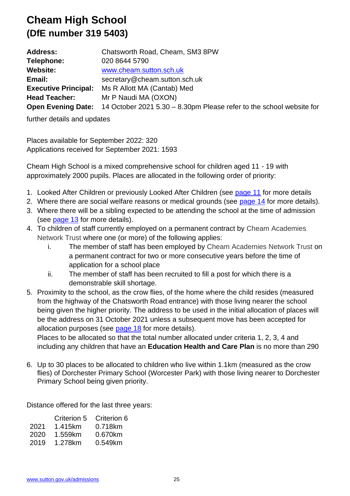# **Cheam High School (DfE number 319 5403)**

| <b>Address:</b>             | Chatsworth Road, Cheam, SM3 8PW                                      |
|-----------------------------|----------------------------------------------------------------------|
| Telephone:                  | 020 8644 5790                                                        |
| <b>Website:</b>             | www.cheam.sutton.sch.uk                                              |
| Email:                      | secretary@cheam.sutton.sch.uk                                        |
| <b>Executive Principal:</b> | Ms R Allott MA (Cantab) Med                                          |
| <b>Head Teacher:</b>        | Mr P Naudi MA (OXON)                                                 |
| <b>Open Evening Date:</b>   | 14 October 2021 5.30 – 8.30pm Please refer to the school website for |

further details and updates

Places available for September 2022: 320 Applications received for September 2021: 1593

Cheam High School is a mixed comprehensive school for children aged 11 - 19 with approximately 2000 pupils. Places are allocated in the following order of priority:

- 1. Looked After Children or previously Looked After Children (see [page 11](#page-10-0) for more details
- 2. Where there are social welfare reasons or medical grounds (see [page 14](#page-13-0) for more details).
- 3. Where there will be a sibling expected to be attending the school at the time of admission (see [page 13](#page-12-0) for more details).
- 4. To children of staff currently employed on a permanent contract by Cheam Academies Network Trust where one (or more) of the following applies:
	- i. The member of staff has been employed by Cheam Academies Network Trust on a permanent contract for two or more consecutive years before the time of application for a school place
	- ii. The member of staff has been recruited to fill a post for which there is a demonstrable skill shortage.
- 5. Proximity to the school, as the crow flies, of the home where the child resides (measured from the highway of the Chatsworth Road entrance) with those living nearer the school being given the higher priority. The address to be used in the initial allocation of places will be the address on 31 October 2021 unless a subsequent move has been accepted for allocation purposes (see [page 18](#page-17-0) for more details).

Places to be allocated so that the total number allocated under criteria 1, 2, 3, 4 and including any children that have an **Education Health and Care Plan** is no more than 290

6. Up to 30 places to be allocated to children who live within 1.1km (measured as the crow flies) of Dorchester Primary School (Worcester Park) with those living nearer to Dorchester Primary School being given priority.

Distance offered for the last three years:

| Criterion 5 | Criterion 6 |
|-------------|-------------|
| 1.415km     | 0.718km     |
| 1.559km     | 0.670km     |
| 1.278km     | 0.549km     |
|             |             |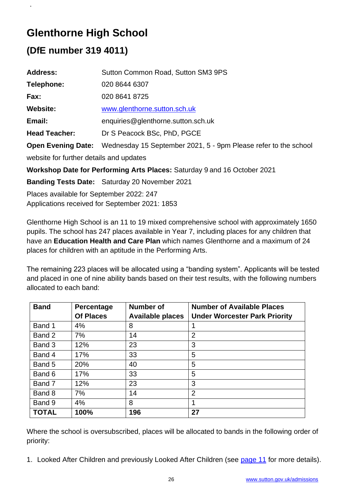# **Glenthorne High School**

# **(DfE number 319 4011)**

.

| <b>Address:</b>                                                          | Sutton Common Road, Sutton SM3 9PS                              |  |  |
|--------------------------------------------------------------------------|-----------------------------------------------------------------|--|--|
| Telephone:                                                               | 020 8644 6307                                                   |  |  |
| Fax:                                                                     | 020 8641 8725                                                   |  |  |
| <b>Website:</b>                                                          | www.glenthorne.sutton.sch.uk                                    |  |  |
| Email:                                                                   | enquiries@glenthorne.sutton.sch.uk                              |  |  |
| <b>Head Teacher:</b>                                                     | Dr S Peacock BSc, PhD, PGCE                                     |  |  |
| <b>Open Evening Date:</b>                                                | Wednesday 15 September 2021, 5 - 9pm Please refer to the school |  |  |
| website for further details and updates                                  |                                                                 |  |  |
| Workshop Date for Performing Arts Places: Saturday 9 and 16 October 2021 |                                                                 |  |  |
|                                                                          | <b>Banding Tests Date:</b> Saturday 20 November 2021            |  |  |
| Dlosse susileble fex Centember 2022: 247                                 |                                                                 |  |  |

Places available for September 2022: 247 Applications received for September 2021: 1853

Glenthorne High School is an 11 to 19 mixed comprehensive school with approximately 1650 pupils. The school has 247 places available in Year 7, including places for any children that have an **Education Health and Care Plan** which names Glenthorne and a maximum of 24 places for children with an aptitude in the Performing Arts.

The remaining 223 places will be allocated using a "banding system". Applicants will be tested and placed in one of nine ability bands based on their test results, with the following numbers allocated to each band:

| <b>Band</b>  | Percentage       | <b>Number of</b>        | <b>Number of Available Places</b>    |
|--------------|------------------|-------------------------|--------------------------------------|
|              | <b>Of Places</b> | <b>Available places</b> | <b>Under Worcester Park Priority</b> |
| Band 1       | 4%               | 8                       | 1                                    |
| Band 2       | 7%               | 14                      | $\overline{2}$                       |
| Band 3       | 12%              | 23                      | 3                                    |
| Band 4       | 17%              | 33                      | 5                                    |
| Band 5       | 20%              | 40                      | 5                                    |
| Band 6       | 17%              | 33                      | 5                                    |
| Band 7       | 12%              | 23                      | 3                                    |
| Band 8       | 7%               | 14                      | $\overline{2}$                       |
| Band 9       | 4%               | 8                       | 1                                    |
| <b>TOTAL</b> | 100%             | 196                     | 27                                   |

Where the school is oversubscribed, places will be allocated to bands in the following order of priority:

1. Looked After Children and previously Looked After Children (see [page 11](#page-10-0) for more details).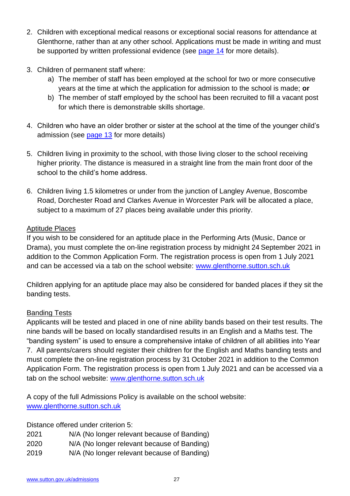- 2. Children with exceptional medical reasons or exceptional social reasons for attendance at Glenthorne, rather than at any other school. Applications must be made in writing and must be supported by written professional evidence (see [page 14](#page-13-0) for more details).
- 3. Children of permanent staff where:
	- a) The member of staff has been employed at the school for two or more consecutive years at the time at which the application for admission to the school is made; **or**
	- b) The member of staff employed by the school has been recruited to fill a vacant post for which there is demonstrable skills shortage.
- 4. Children who have an older brother or sister at the school at the time of the younger child's admission (see [page 13](#page-12-0) for more details)
- 5. Children living in proximity to the school, with those living closer to the school receiving higher priority. The distance is measured in a straight line from the main front door of the school to the child's home address.
- 6. Children living 1.5 kilometres or under from the junction of Langley Avenue, Boscombe Road, Dorchester Road and Clarkes Avenue in Worcester Park will be allocated a place, subject to a maximum of 27 places being available under this priority.

#### Aptitude Places

If you wish to be considered for an aptitude place in the Performing Arts (Music, Dance or Drama), you must complete the on-line registration process by midnight 24 September 2021 in addition to the Common Application Form. The registration process is open from 1 July 2021 and can be accessed via a tab on the school website: [www.glenthorne.sutton.sch.uk](http://www.glenthorne.sutton.sch.uk/)

Children applying for an aptitude place may also be considered for banded places if they sit the banding tests.

### Banding Tests

Applicants will be tested and placed in one of nine ability bands based on their test results. The nine bands will be based on locally standardised results in an English and a Maths test. The "banding system" is used to ensure a comprehensive intake of children of all abilities into Year 7. All parents/carers should register their children for the English and Maths banding tests and must complete the on-line registration process by 31 October 2021 in addition to the Common Application Form. The registration process is open from 1 July 2021 and can be accessed via a tab on the school website: [www.glenthorne.sutton.sch.uk](http://www.glenthorne.sutton.sch.uk/)

A copy of the full Admissions Policy is available on the school website: [www.glenthorne.sutton.sch.uk](http://www.glenthorne.sutton.sch.uk/)

Distance offered under criterion 5:

- 2021 N/A (No longer relevant because of Banding)
- 2020 N/A (No longer relevant because of Banding)
- 2019 N/A (No longer relevant because of Banding)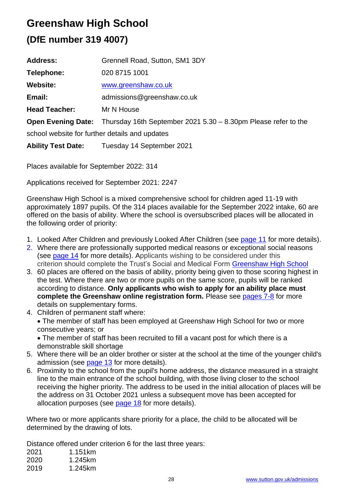# **Greenshaw High School**

# **(DfE number 319 4007)**

| <b>Address:</b>                                | Grennell Road, Sutton, SM1 3DY                                                    |  |
|------------------------------------------------|-----------------------------------------------------------------------------------|--|
| Telephone:                                     | 020 8715 1001                                                                     |  |
| <b>Website:</b>                                | www.greenshaw.co.uk                                                               |  |
| Email:                                         | admissions@greenshaw.co.uk                                                        |  |
| <b>Head Teacher:</b>                           | Mr N House                                                                        |  |
|                                                | Open Evening Date: Thursday 16th September 2021 5.30 - 8.30pm Please refer to the |  |
| school website for further details and updates |                                                                                   |  |
| <b>Ability Test Date:</b>                      | Tuesday 14 September 2021                                                         |  |

Places available for September 2022: 314

Applications received for September 2021: 2247

Greenshaw High School is a mixed comprehensive school for children aged 11-19 with approximately 1897 pupils. Of the 314 places available for the September 2022 intake, 60 are offered on the basis of ability. Where the school is oversubscribed places will be allocated in the following order of priority:

- 1. Looked After Children and previously Looked After Children (see [page 11](#page-10-1) for more details).
- 2. Where there are professionally supported medical reasons or exceptional social reasons (see [page 14](#page-13-0) for more details). Applicants wishing to be considered under this criterion should complete the Trust's Social and Medical Form [Greenshaw High School](https://www.greenshawlearningtrust.co.uk/join-us/admissions-to-our-schools/proposed-admission-arrangements-2022/23)
- 3. 60 places are offered on the basis of ability, priority being given to those scoring highest in the test. Where there are two or more pupils on the same score, pupils will be ranked according to distance. **Only applicants who wish to apply for an ability place must complete the Greenshaw online registration form.** Please see [pages 7-](#page-6-0)8 for more details on supplementary forms.
- 4. Children of permanent staff where:

• The member of staff has been employed at Greenshaw High School for two or more consecutive years; or

• The member of staff has been recruited to fill a vacant post for which there is a demonstrable skill shortage

- 5. Where there will be an older brother or sister at the school at the time of the younger child's admission (see [page 13](#page-12-0) for more details).
- 6. Proximity to the school from the pupil's home address, the distance measured in a straight line to the main entrance of the school building, with those living closer to the school receiving the higher priority. The address to be used in the initial allocation of places will be the address on 31 October 2021 unless a subsequent move has been accepted for allocation purposes (see [page 18](#page-17-0) for more details).

Where two or more applicants share priority for a place, the child to be allocated will be determined by the drawing of lots.

Distance offered under criterion 6 for the last three years:

| 2021 | 1.151km |
|------|---------|
| 2020 | 1.245km |
| 2019 | 1.245km |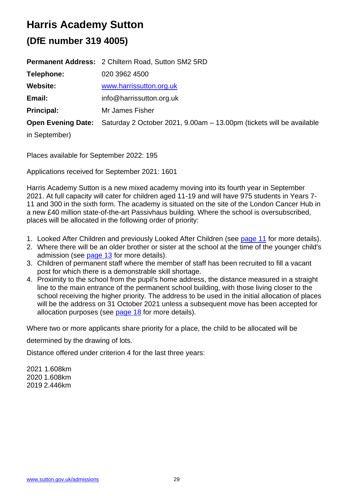# **Harris Academy Sutton**

# **(DfE number 319 4005)**

|                           | <b>Permanent Address: 2 Chiltern Road, Sutton SM2 5RD</b>            |
|---------------------------|----------------------------------------------------------------------|
| Telephone:                | 020 3962 4500                                                        |
| <b>Website:</b>           | www.harrissutton.org.uk                                              |
| Email:                    | info@harrissutton.org.uk                                             |
| <b>Principal:</b>         | Mr James Fisher                                                      |
| <b>Open Evening Date:</b> | Saturday 2 October 2021, 9.00am - 13.00pm (tickets will be available |
| in September)             |                                                                      |

Places available for September 2022: 195

Applications received for September 2021: 1601

Harris Academy Sutton is a new mixed academy moving into its fourth year in September 2021. At full capacity will cater for children aged 11-19 and will have 975 students in Years 7- 11 and 300 in the sixth form. The academy is situated on the site of the London Cancer Hub in a new £40 million state-of-the-art Passivhaus building. Where the school is oversubscribed, places will be allocated in the following order of priority:

- 1. Looked After Children and previously Looked After Children (see [page 11](#page-10-0) for more details).
- 2. Where there will be an older brother or sister at the school at the time of the younger child's admission (see [page 13](#page-12-0) for more details).
- 3. Children of permanent staff where the member of staff has been recruited to fill a vacant post for which there is a demonstrable skill shortage.
- 4. Proximity to the school from the pupil's home address, the distance measured in a straight line to the main entrance of the permanent school building, with those living closer to the school receiving the higher priority. The address to be used in the initial allocation of places will be the address on 31 October 2021 unless a subsequent move has been accepted for allocation purposes (see [page 18](#page-17-0) for more details).

Where two or more applicants share priority for a place, the child to be allocated will be

determined by the drawing of lots.

Distance offered under criterion 4 for the last three years:

2021 1.608km 2020 1.608km 2019 2.446km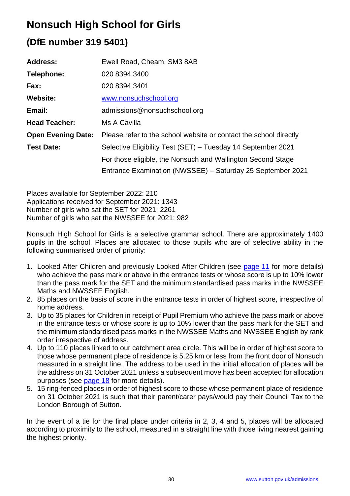# **Nonsuch High School for Girls**

# **(DfE number 319 5401)**

| <b>Address:</b>           | Ewell Road, Cheam, SM3 8AB                                        |
|---------------------------|-------------------------------------------------------------------|
| Telephone:                | 020 8394 3400                                                     |
| Fax:                      | 020 8394 3401                                                     |
| <b>Website:</b>           | www.nonsuchschool.org                                             |
| Email:                    | admissions@nonsuchschool.org                                      |
| <b>Head Teacher:</b>      | Ms A Cavilla                                                      |
| <b>Open Evening Date:</b> | Please refer to the school website or contact the school directly |
| <b>Test Date:</b>         | Selective Eligibility Test (SET) – Tuesday 14 September 2021      |
|                           | For those eligible, the Nonsuch and Wallington Second Stage       |
|                           | Entrance Examination (NWSSEE) – Saturday 25 September 2021        |

Places available for September 2022: 210 Applications received for September 2021: 1343 Number of girls who sat the SET for 2021: 2261 Number of girls who sat the NWSSEE for 2021: 982

Nonsuch High School for Girls is a selective grammar school. There are approximately 1400 pupils in the school. Places are allocated to those pupils who are of selective ability in the following summarised order of priority:

- 1. Looked After Children and previously Looked After Children (see [page 11](#page-10-1) for more details) who achieve the pass mark or above in the entrance tests or whose score is up to 10% lower than the pass mark for the SET and the minimum standardised pass marks in the NWSSEE Maths and NWSSEE English.
- 2. 85 places on the basis of score in the entrance tests in order of highest score, irrespective of home address.
- 3. Up to 35 places for Children in receipt of Pupil Premium who achieve the pass mark or above in the entrance tests or whose score is up to 10% lower than the pass mark for the SET and the minimum standardised pass marks in the NWSSEE Maths and NWSSEE English by rank order irrespective of address.
- 4. Up to 110 places linked to our catchment area circle. This will be in order of highest score to those whose permanent place of residence is 5.25 km or less from the front door of Nonsuch measured in a straight line. The address to be used in the initial allocation of places will be the address on 31 October 2021 unless a subsequent move has been accepted for allocation purposes (see [page 18](#page-17-0) for more details).
- 5. 15 ring-fenced places in order of highest score to those whose permanent place of residence on 31 October 2021 is such that their parent/carer pays/would pay their Council Tax to the London Borough of Sutton.

In the event of a tie for the final place under criteria in 2, 3, 4 and 5, places will be allocated according to proximity to the school, measured in a straight line with those living nearest gaining the highest priority.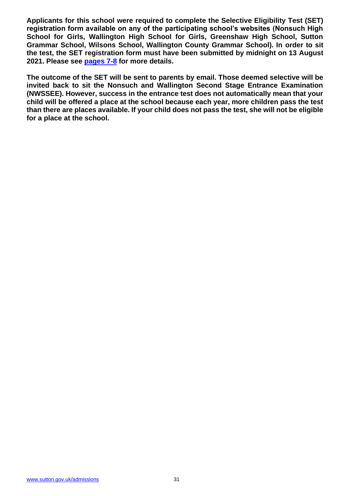**Applicants for this school were required to complete the Selective Eligibility Test (SET) registration form available on any of the participating school's websites (Nonsuch High School for Girls, Wallington High School for Girls, Greenshaw High School, Sutton Grammar School, Wilsons School, Wallington County Grammar School). In order to sit the test, the SET registration form must have been submitted by midnight on 13 August 2021. Please see [pages 7-](#page-6-0)8 for more details.**

**The outcome of the SET will be sent to parents by email. Those deemed selective will be invited back to sit the Nonsuch and Wallington Second Stage Entrance Examination (NWSSEE). However, success in the entrance test does not automatically mean that your child will be offered a place at the school because each year, more children pass the test than there are places available. If your child does not pass the test, she will not be eligible for a place at the school.**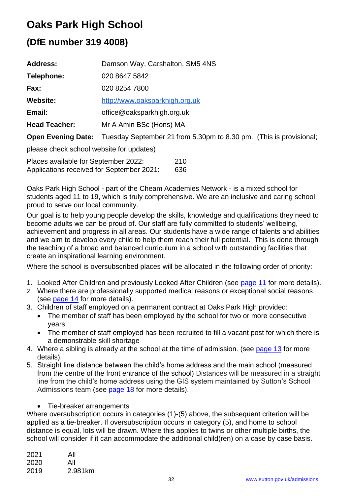# **Oaks Park High School**

# **(DfE number 319 4008)**

| <b>Address:</b>           | Damson Way, Carshalton, SM5 4NS                                    |
|---------------------------|--------------------------------------------------------------------|
| Telephone:                | 020 8647 5842                                                      |
| Fax:                      | 020 8254 7800                                                      |
| <b>Website:</b>           | http://www.oaksparkhigh.org.uk                                     |
| Email:                    | office@oaksparkhigh.org.uk                                         |
| <b>Head Teacher:</b>      | Mr A Amin BSc (Hons) MA                                            |
| <b>Open Evening Date:</b> | Tuesday September 21 from 5.30pm to 8.30 pm. (This is provisional; |

please check school website for updates)

Places available for September 2022: 210 Applications received for September 2021: 636

Oaks Park High School - part of the Cheam Academies Network - is a mixed school for students aged 11 to 19, which is truly comprehensive. We are an inclusive and caring school, proud to serve our local community.

Our goal is to help young people develop the skills, knowledge and qualifications they need to become adults we can be proud of. Our staff are fully committed to students' wellbeing, achievement and progress in all areas. Our students have a wide range of talents and abilities and we aim to develop every child to help them reach their full potential. This is done through the teaching of a broad and balanced curriculum in a school with outstanding facilities that create an inspirational learning environment.

Where the school is oversubscribed places will be allocated in the following order of priority:

- 1. Looked After Children and previously Looked After Children (see [page 11](#page-10-0) for more details).
- 2. Where there are professionally supported medical reasons or exceptional social reasons (see [page 14](#page-13-0) for more details).
- 3. Children of staff employed on a permanent contract at Oaks Park High provided:
	- The member of staff has been employed by the school for two or more consecutive years
	- The member of staff employed has been recruited to fill a vacant post for which there is a demonstrable skill shortage
- 4. Where a sibling is already at the school at the time of admission. (see [page 13](#page-12-0) for more details).
- 5. Straight line distance between the child's home address and the main school (measured from the centre of the front entrance of the school) Distances will be measured in a straight line from the child's home address using the GIS system maintained by Sutton's School Admissions team (see [page 18](#page-17-0) for more details).
	- Tie-breaker arrangements

Where oversubscription occurs in categories (1)-(5) above, the subsequent criterion will be applied as a tie-breaker. If oversubscription occurs in category (5), and home to school distance is equal, lots will be drawn. Where this applies to twins or other multiple births, the school will consider if it can accommodate the additional child(ren) on a case by case basis.

| 2021 | All     |
|------|---------|
| 2020 | All     |
| 2019 | 2.981km |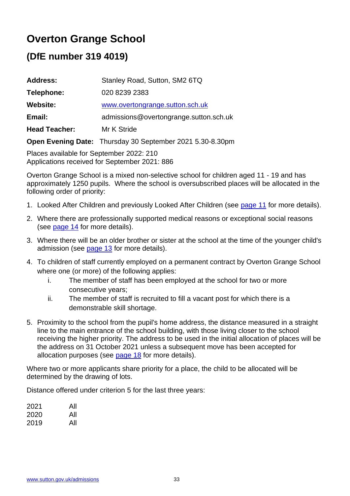# **Overton Grange School**

### **(DfE number 319 4019)**

| <b>Address:</b>      | Stanley Road, Sutton, SM2 6TQ          |
|----------------------|----------------------------------------|
| Telephone:           | 020 8239 2383                          |
| <b>Website:</b>      | www.overtongrange.sutton.sch.uk        |
| Email:               | admissions@overtongrange.sutton.sch.uk |
| <b>Head Teacher:</b> | Mr K Stride                            |
|                      |                                        |

**Open Evening Date:** Thursday 30 September 2021 5.30-8.30pm

Places available for September 2022: 210 Applications received for September 2021: 886

Overton Grange School is a mixed non-selective school for children aged 11 - 19 and has approximately 1250 pupils. Where the school is oversubscribed places will be allocated in the following order of priority:

- 1. Looked After Children and previously Looked After Children (see [page 11](#page-10-1) for more details).
- 2. Where there are professionally supported medical reasons or exceptional social reasons (see [page 14](#page-13-0) for more details).
- 3. Where there will be an older brother or sister at the school at the time of the younger child's admission (see [page 13](#page-12-0) for more details).
- 4. To children of staff currently employed on a permanent contract by Overton Grange School where one (or more) of the following applies:
	- i. The member of staff has been employed at the school for two or more consecutive years;
	- ii. The member of staff is recruited to fill a vacant post for which there is a demonstrable skill shortage.
- 5. Proximity to the school from the pupil's home address, the distance measured in a straight line to the main entrance of the school building, with those living closer to the school receiving the higher priority. The address to be used in the initial allocation of places will be the address on 31 October 2021 unless a subsequent move has been accepted for allocation purposes (see [page 18](#page-17-0) for more details).

Where two or more applicants share priority for a place, the child to be allocated will be determined by the drawing of lots.

Distance offered under criterion 5 for the last three years:

| 2021 | All |
|------|-----|
| 2020 | All |
| 2019 | All |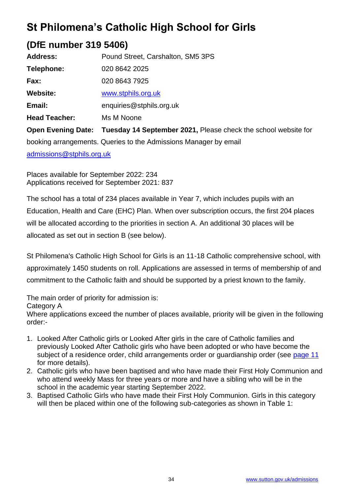# **St Philomena's Catholic High School for Girls**

### **(DfE number 319 5406)**

| <b>Address:</b>                                                  | Pound Street, Carshalton, SM5 3PS                              |  |
|------------------------------------------------------------------|----------------------------------------------------------------|--|
| Telephone:                                                       | 020 8642 2025                                                  |  |
| Fax:                                                             | 020 8643 7925                                                  |  |
| <b>Website:</b>                                                  | www.stphils.org.uk                                             |  |
| Email:                                                           | enquiries@stphils.org.uk                                       |  |
| <b>Head Teacher:</b>                                             | Ms M Noone                                                     |  |
| <b>Open Evening Date:</b>                                        | Tuesday 14 September 2021, Please check the school website for |  |
| booking arrangements. Queries to the Admissions Manager by email |                                                                |  |

[admissions@stphils.org.uk](mailto:admissions@stphils.org.uk)

Places available for September 2022: 234 Applications received for September 2021: 837

The school has a total of 234 places available in Year 7, which includes pupils with an Education, Health and Care (EHC) Plan. When over subscription occurs, the first 204 places will be allocated according to the priorities in section A. An additional 30 places will be allocated as set out in section B (see below).

St Philomena's Catholic High School for Girls is an 11-18 Catholic comprehensive school, with approximately 1450 students on roll. Applications are assessed in terms of membership of and commitment to the Catholic faith and should be supported by a priest known to the family.

The main order of priority for admission is: Category A

Where applications exceed the number of places available, priority will be given in the following order:-

- 1. Looked After Catholic girls or Looked After girls in the care of Catholic families and previously Looked After Catholic girls who have been adopted or who have become the subject of a residence order, child arrangements order or guardianship order (see [page 11](#page-10-0) for more details).
- 2. Catholic girls who have been baptised and who have made their First Holy Communion and who attend weekly Mass for three years or more and have a sibling who will be in the school in the academic year starting September 2022.
- 3. Baptised Catholic Girls who have made their First Holy Communion. Girls in this category will then be placed within one of the following sub-categories as shown in Table 1: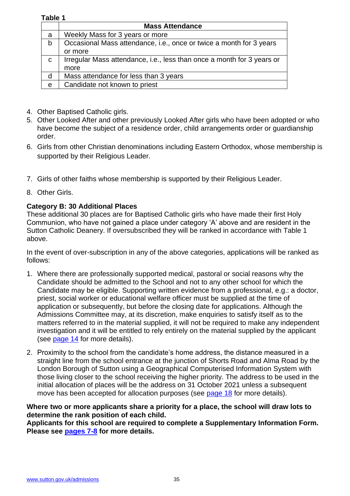### **Table 1**

|             | <b>Mass Attendance</b>                                                 |
|-------------|------------------------------------------------------------------------|
| a           | Weekly Mass for 3 years or more                                        |
| b           | Occasional Mass attendance, i.e., once or twice a month for 3 years    |
|             | or more                                                                |
| $\mathbf C$ | Irregular Mass attendance, i.e., less than once a month for 3 years or |
|             | more                                                                   |
| d           | Mass attendance for less than 3 years                                  |
| e           | Candidate not known to priest                                          |

- 4. Other Baptised Catholic girls.
- 5. Other Looked After and other previously Looked After girls who have been adopted or who have become the subject of a residence order, child arrangements order or guardianship order.
- 6. Girls from other Christian denominations including Eastern Orthodox, whose membership is supported by their Religious Leader.
- 7. Girls of other faiths whose membership is supported by their Religious Leader.
- 8. Other Girls.

#### **Category B: 30 Additional Places**

These additional 30 places are for Baptised Catholic girls who have made their first Holy Communion, who have not gained a place under category 'A' above and are resident in the Sutton Catholic Deanery. If oversubscribed they will be ranked in accordance with Table 1 above.

In the event of over-subscription in any of the above categories, applications will be ranked as follows:

- 1. Where there are professionally supported medical, pastoral or social reasons why the Candidate should be admitted to the School and not to any other school for which the Candidate may be eligible. Supporting written evidence from a professional, e.g.: a doctor, priest, social worker or educational welfare officer must be supplied at the time of application or subsequently, but before the closing date for applications. Although the Admissions Committee may, at its discretion, make enquiries to satisfy itself as to the matters referred to in the material supplied, it will not be required to make any independent investigation and it will be entitled to rely entirely on the material supplied by the applicant (see [page 14](#page-13-0) for more details).
- 2. Proximity to the school from the candidate's home address, the distance measured in a straight line from the school entrance at the junction of Shorts Road and Alma Road by the London Borough of Sutton using a Geographical Computerised Information System with those living closer to the school receiving the higher priority. The address to be used in the initial allocation of places will be the address on 31 October 2021 unless a subsequent move has been accepted for allocation purposes (see [page 18](#page-17-0) for more details).

**Where two or more applicants share a priority for a place, the school will draw lots to determine the rank position of each child.**

**Applicants for this school are required to complete a Supplementary Information Form. Please see [pages 7-8](#page-7-0) for more details.**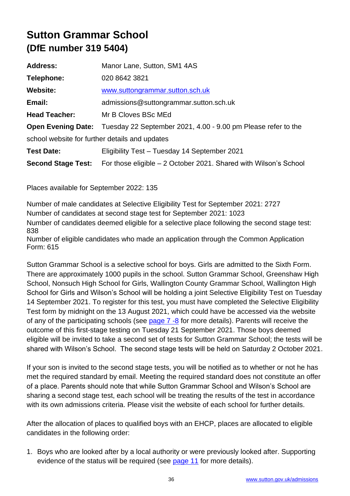# **Sutton Grammar School (DfE number 319 5404)**

| <b>Address:</b>                                | Manor Lane, Sutton, SM1 4AS                                                             |  |
|------------------------------------------------|-----------------------------------------------------------------------------------------|--|
| Telephone:                                     | 020 8642 3821                                                                           |  |
| <b>Website:</b>                                | www.suttongrammar.sutton.sch.uk                                                         |  |
| Email:                                         | admissions@suttongrammar.sutton.sch.uk                                                  |  |
| <b>Head Teacher:</b>                           | Mr B Cloves BSc MEd                                                                     |  |
|                                                | <b>Open Evening Date:</b> Tuesday 22 September 2021, 4.00 - 9.00 pm Please refer to the |  |
| school website for further details and updates |                                                                                         |  |
| <b>Test Date:</b>                              | Eligibility Test - Tuesday 14 September 2021                                            |  |
| <b>Second Stage Test:</b>                      | For those eligible – 2 October 2021. Shared with Wilson's School                        |  |

Places available for September 2022: 135

Number of male candidates at Selective Eligibility Test for September 2021: 2727 Number of candidates at second stage test for September 2021: 1023 Number of candidates deemed eligible for a selective place following the second stage test: 838

Number of eligible candidates who made an application through the Common Application Form: 615

Sutton Grammar School is a selective school for boys. Girls are admitted to the Sixth Form. There are approximately 1000 pupils in the school. Sutton Grammar School, Greenshaw High School, Nonsuch High School for Girls, Wallington County Grammar School, Wallington High School for Girls and Wilson's School will be holding a joint Selective Eligibility Test on Tuesday 14 September 2021. To register for this test, you must have completed the Selective Eligibility Test form by midnight on the 13 August 2021, which could have be accessed via the website of any of the participating schools (see page  $7 - 8$  for more details). Parents will receive the outcome of this first-stage testing on Tuesday 21 September 2021. Those boys deemed eligible will be invited to take a second set of tests for Sutton Grammar School; the tests will be shared with Wilson's School. The second stage tests will be held on Saturday 2 October 2021.

If your son is invited to the second stage tests, you will be notified as to whether or not he has met the required standard by email. Meeting the required standard does not constitute an offer of a place. Parents should note that while Sutton Grammar School and Wilson's School are sharing a second stage test, each school will be treating the results of the test in accordance with its own admissions criteria. Please visit the website of each school for further details.

After the allocation of places to qualified boys with an EHCP, places are allocated to eligible candidates in the following order:

1. Boys who are looked after by a local authority or were previously looked after. Supporting evidence of the status will be required (see [page 11](#page-10-0) for more details).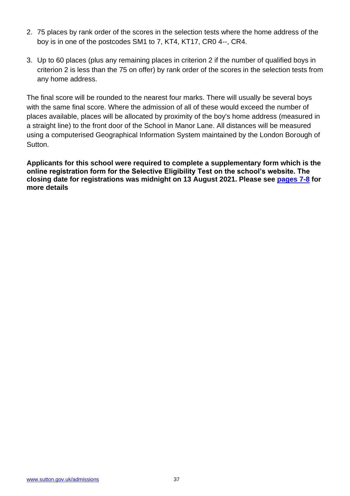- 2. 75 places by rank order of the scores in the selection tests where the home address of the boy is in one of the postcodes SM1 to 7, KT4, KT17, CR0 4--, CR4.
- 3. Up to 60 places (plus any remaining places in criterion 2 if the number of qualified boys in criterion 2 is less than the 75 on offer) by rank order of the scores in the selection tests from any home address.

The final score will be rounded to the nearest four marks. There will usually be several boys with the same final score. Where the admission of all of these would exceed the number of places available, places will be allocated by proximity of the boy's home address (measured in a straight line) to the front door of the School in Manor Lane. All distances will be measured using a computerised Geographical Information System maintained by the London Borough of Sutton.

**Applicants for this school were required to complete a supplementary form which is the online registration form for the Selective Eligibility Test on the school's website. The closing date for registrations was midnight on 13 August 2021. Please see [pages 7-8](#page-6-1) for more details**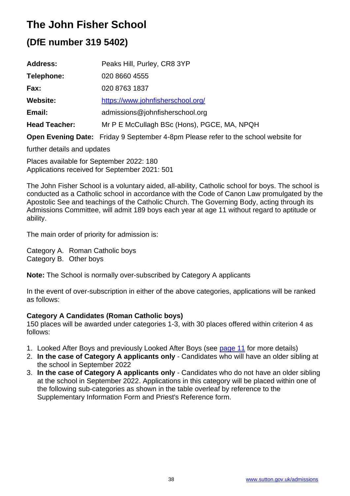# **The John Fisher School**

# **(DfE number 319 5402)**

| <b>Address:</b>      | Peaks Hill, Purley, CR8 3YP                                                               |
|----------------------|-------------------------------------------------------------------------------------------|
| Telephone:           | 020 8660 4555                                                                             |
| Fax:                 | 020 8763 1837                                                                             |
| <b>Website:</b>      | https://www.johnfisherschool.org/                                                         |
| Email:               | admissions@johnfisherschool.org                                                           |
| <b>Head Teacher:</b> | Mr P E McCullagh BSc (Hons), PGCE, MA, NPQH                                               |
|                      | <b>Open Evening Date:</b> Friday 9 September 4-8pm Please refer to the school website for |

further details and updates

Places available for September 2022: 180 Applications received for September 2021: 501

The John Fisher School is a voluntary aided, all-ability, Catholic school for boys. The school is conducted as a Catholic school in accordance with the Code of Canon Law promulgated by the Apostolic See and teachings of the Catholic Church. The Governing Body, acting through its Admissions Committee, will admit 189 boys each year at age 11 without regard to aptitude or ability.

The main order of priority for admission is:

Category A. Roman Catholic boys Category B. Other boys

**Note:** The School is normally over-subscribed by Category A applicants

In the event of over-subscription in either of the above categories, applications will be ranked as follows:

### **Category A Candidates (Roman Catholic boys)**

150 places will be awarded under categories 1-3, with 30 places offered within criterion 4 as follows:

- 1. Looked After Boys and previously Looked After Boys (see [page 11](#page-10-0) for more details)
- 2. **In the case of Category A applicants only**  Candidates who will have an older sibling at the school in September 2022
- 3. **In the case of Category A applicants only**  Candidates who do not have an older sibling at the school in September 2022. Applications in this category will be placed within one of the following sub-categories as shown in the table overleaf by reference to the Supplementary Information Form and Priest's Reference form.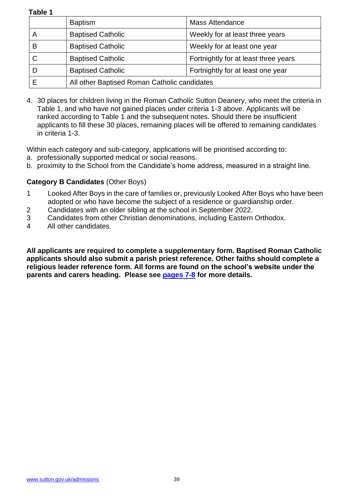**Table 1**

|   | <b>Baptism</b>                               | <b>Mass Attendance</b>               |
|---|----------------------------------------------|--------------------------------------|
| А | <b>Baptised Catholic</b>                     | Weekly for at least three years      |
| В | <b>Baptised Catholic</b>                     | Weekly for at least one year         |
|   | <b>Baptised Catholic</b>                     | Fortnightly for at least three years |
|   | <b>Baptised Catholic</b>                     | Fortnightly for at least one year    |
|   | All other Baptised Roman Catholic candidates |                                      |

4. 30 places for children living in the Roman Catholic Sutton Deanery, who meet the criteria in Table 1, and who have not gained places under criteria 1-3 above. Applicants will be ranked according to Table 1 and the subsequent notes. Should there be insufficient applicants to fill these 30 places, remaining places will be offered to remaining candidates in criteria 1-3.

Within each category and sub-category, applications will be prioritised according to:

- a. professionally supported medical or social reasons.
- b. proximity to the School from the Candidate's home address, measured in a straight line.

#### **Category B Candidates** (Other Boys)

- 1 Looked After Boys in the care of families or, previously Looked After Boys who have been adopted or who have become the subject of a residence or guardianship order.
- 2 Candidates with an older sibling at the school in September 2022.
- 3 Candidates from other Christian denominations, including Eastern Orthodox.
- 4 All other candidates.

**All applicants are required to complete a supplementary form. Baptised Roman Catholic applicants should also submit a parish priest reference. Other faiths should complete a religious leader reference form. All forms are found on the school's website under the parents and carers heading. Please see [pages 7-8](#page-6-1) for more details.**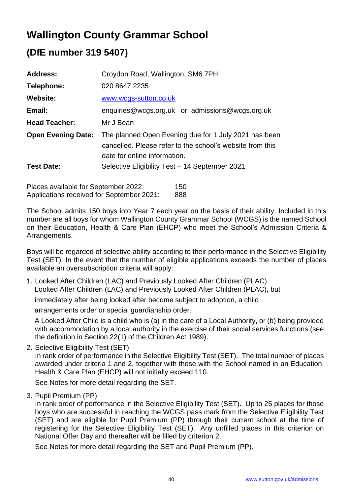# **Wallington County Grammar School**

## **(DfE number 319 5407)**

| <b>Address:</b>           | Croydon Road, Wallington, SM6 7PH                                                                                                                  |  |
|---------------------------|----------------------------------------------------------------------------------------------------------------------------------------------------|--|
| Telephone:                | 020 8647 2235                                                                                                                                      |  |
| <b>Website:</b>           | www.wcgs-sutton.co.uk                                                                                                                              |  |
| Email:                    | enquiries@wcgs.org.uk or admissions@wcgs.org.uk                                                                                                    |  |
| <b>Head Teacher:</b>      | Mr J Bean                                                                                                                                          |  |
| <b>Open Evening Date:</b> | The planned Open Evening due for 1 July 2021 has been<br>cancelled. Please refer to the school's website from this<br>date for online information. |  |
| <b>Test Date:</b>         | Selective Eligibility Test - 14 September 2021                                                                                                     |  |

Places available for September 2022: 150 Applications received for September 2021: 888

The School admits 150 boys into Year 7 each year on the basis of their ability. Included in this number are all boys for whom Wallington County Grammar School (WCGS) is the named School on their Education, Health & Care Plan (EHCP) who meet the School's Admission Criteria & Arrangements.

Boys will be regarded of selective ability according to their performance in the Selective Eligibility Test (SET). In the event that the number of eligible applications exceeds the number of places available an oversubscription criteria will apply:

1. Looked After Children (LAC) and Previously Looked After Children (PLAC) Looked After Children (LAC) and Previously Looked After Children (PLAC), but

immediately after being looked after become subject to adoption, a child

arrangements order or special guardianship order.

A Looked After Child is a child who is (a) in the care of a Local Authority, or (b) being provided with accommodation by a local authority in the exercise of their social services functions (see the definition in Section 22(1) of the Children Act 1989).

2. Selective Eligibility Test (SET)

In rank order of performance in the Selective Eligibility Test (SET). The total number of places awarded under criteria 1 and 2, together with those with the School named in an Education, Health & Care Plan (EHCP) will not initially exceed 110.

See Notes for more detail regarding the SET.

3. Pupil Premium (PP)

In rank order of performance in the Selective Eligibility Test (SET). Up to 25 places for those boys who are successful in reaching the WCGS pass mark from the Selective Eligibility Test (SET) and are eligible for Pupil Premium (PP) through their current school at the time of registering for the Selective Eligibility Test (SET). Any unfilled places in this criterion on National Offer Day and thereafter will be filled by criterion 2.

See Notes for more detail regarding the SET and Pupil Premium (PP).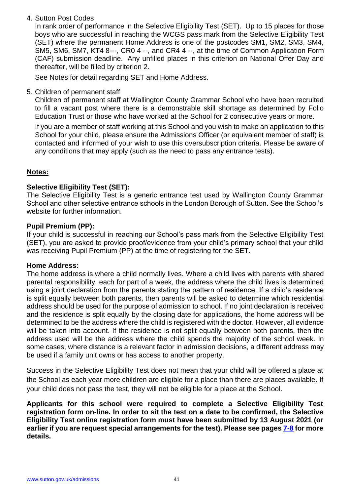4. Sutton Post Codes

In rank order of performance in the Selective Eligibility Test (SET). Up to 15 places for those boys who are successful in reaching the WCGS pass mark from the Selective Eligibility Test (SET) where the permanent Home Address is one of the postcodes SM1, SM2, SM3, SM4, SM5, SM6, SM7, KT4 8---, CR0 4 --, and CR4 4 --, at the time of Common Application Form (CAF) submission deadline. Any unfilled places in this criterion on National Offer Day and thereafter, will be filled by criterion 2.

See Notes for detail regarding SET and Home Address.

5. Children of permanent staff

Children of permanent staff at Wallington County Grammar School who have been recruited to fill a vacant post where there is a demonstrable skill shortage as determined by Folio Education Trust or those who have worked at the School for 2 consecutive years or more.

If you are a member of staff working at this School and you wish to make an application to this School for your child, please ensure the Admissions Officer (or equivalent member of staff) is contacted and informed of your wish to use this oversubscription criteria. Please be aware of any conditions that may apply (such as the need to pass any entrance tests).

### **Notes:**

#### **Selective Eligibility Test (SET):**

The Selective Eligibility Test is a generic entrance test used by Wallington County Grammar School and other selective entrance schools in the London Borough of Sutton. See the School's website for further information.

#### **Pupil Premium (PP):**

If your child is successful in reaching our School's pass mark from the Selective Eligibility Test (SET), you are asked to provide proof/evidence from your child's primary school that your child was receiving Pupil Premium (PP) at the time of registering for the SET.

#### **Home Address:**

The home address is where a child normally lives. Where a child lives with parents with shared parental responsibility, each for part of a week, the address where the child lives is determined using a joint declaration from the parents stating the pattern of residence. If a child's residence is split equally between both parents, then parents will be asked to determine which residential address should be used for the purpose of admission to school. If no joint declaration is received and the residence is split equally by the closing date for applications, the home address will be determined to be the address where the child is registered with the doctor. However, all evidence will be taken into account. If the residence is not split equally between both parents, then the address used will be the address where the child spends the majority of the school week. In some cases, where distance is a relevant factor in admission decisions, a different address may be used if a family unit owns or has access to another property.

Success in the Selective Eligibility Test does not mean that your child will be offered a place at the School as each year more children are eligible for a place than there are places available. If your child does not pass the test, they will not be eligible for a place at the School.

**Applicants for this school were required to complete a Selective Eligibility Test registration form on-line. In order to sit the test on a date to be confirmed, the Selective Eligibility Test online registration form must have been submitted by 13 August 2021 (or earlier if you are request special arrangements for the test). Please see pages [7-8](#page-6-1) for more details.**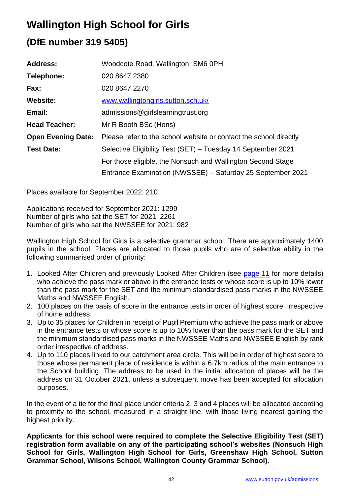# **Wallington High School for Girls**

## **(DfE number 319 5405)**

| <b>Address:</b>           | Woodcote Road, Wallington, SM6 0PH                                |
|---------------------------|-------------------------------------------------------------------|
| Telephone:                | 020 8647 2380                                                     |
| Fax:                      | 020 8647 2270                                                     |
| <b>Website:</b>           | www.wallingtongirls.sutton.sch.uk/                                |
| Email:                    | admissions@girlslearningtrust.org                                 |
| <b>Head Teacher:</b>      | Mr R Booth BSc (Hons)                                             |
| <b>Open Evening Date:</b> | Please refer to the school website or contact the school directly |
| <b>Test Date:</b>         | Selective Eligibility Test (SET) - Tuesday 14 September 2021      |
|                           | For those eligible, the Nonsuch and Wallington Second Stage       |
|                           | Entrance Examination (NWSSEE) – Saturday 25 September 2021        |

Places available for September 2022: 210

Applications received for September 2021: 1299 Number of girls who sat the SET for 2021: 2261 Number of girls who sat the NWSSEE for 2021: 982

Wallington High School for Girls is a selective grammar school. There are approximately 1400 pupils in the school. Places are allocated to those pupils who are of selective ability in the following summarised order of priority:

- 1. Looked After Children and previously Looked After Children (see [page 11](#page-10-0) for more details) who achieve the pass mark or above in the entrance tests or whose score is up to 10% lower than the pass mark for the SET and the minimum standardised pass marks in the NWSSEE Maths and NWSSEE English.
- 2. 100 places on the basis of score in the entrance tests in order of highest score, irrespective of home address.
- 3. Up to 35 places for Children in receipt of Pupil Premium who achieve the pass mark or above in the entrance tests or whose score is up to 10% lower than the pass mark for the SET and the minimum standardised pass marks in the NWSSEE Maths and NWSSEE English by rank order irrespective of address.
- 4. Up to 110 places linked to our catchment area circle. This will be in order of highest score to those whose permanent place of residence is within a 6.7km radius of the main entrance to the School building. The address to be used in the initial allocation of places will be the address on 31 October 2021, unless a subsequent move has been accepted for allocation purposes.

In the event of a tie for the final place under criteria 2, 3 and 4 places will be allocated according to proximity to the school, measured in a straight line, with those living nearest gaining the highest priority.

**Applicants for this school were required to complete the Selective Eligibility Test (SET) registration form available on any of the participating school's websites (Nonsuch High School for Girls, Wallington High School for Girls, Greenshaw High School, Sutton Grammar School, Wilsons School, Wallington County Grammar School).**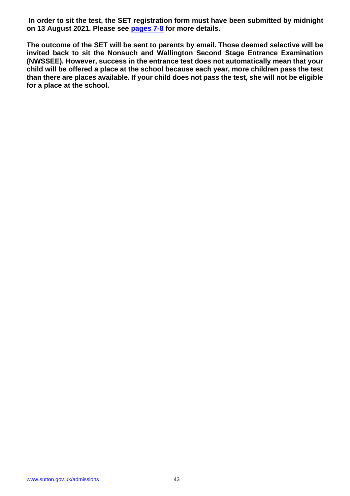**In order to sit the test, the SET registration form must have been submitted by midnight on 13 August 2021. Please see [pages 7-](#page-6-0)8 for more details.**

**The outcome of the SET will be sent to parents by email. Those deemed selective will be invited back to sit the Nonsuch and Wallington Second Stage Entrance Examination (NWSSEE). However, success in the entrance test does not automatically mean that your child will be offered a place at the school because each year, more children pass the test than there are places available. If your child does not pass the test, she will not be eligible for a place at the school.**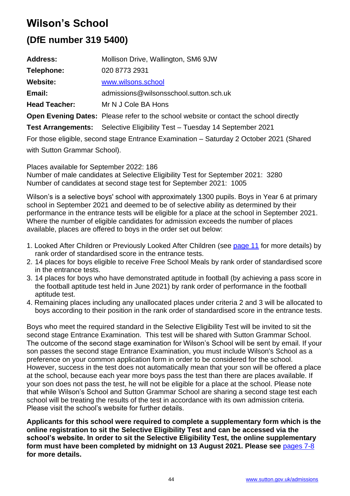# **Wilson's School**

### **(DfE number 319 5400)**

| <b>Address:</b>                                                                         | Mollison Drive, Wallington, SM6 9JW                                                          |  |  |
|-----------------------------------------------------------------------------------------|----------------------------------------------------------------------------------------------|--|--|
| Telephone:                                                                              | 020 8773 2931                                                                                |  |  |
| <b>Website:</b>                                                                         | www.wilsons.school                                                                           |  |  |
| Email:                                                                                  | admissions@wilsonsschool.sutton.sch.uk                                                       |  |  |
| <b>Head Teacher:</b>                                                                    | Mr N J Cole BA Hons                                                                          |  |  |
|                                                                                         | <b>Open Evening Dates:</b> Please refer to the school website or contact the school directly |  |  |
|                                                                                         | Test Arrangements: Selective Eligibility Test - Tuesday 14 September 2021                    |  |  |
| For those eligible, second stage Entrance Examination – Saturday 2 October 2021 (Shared |                                                                                              |  |  |

with Sutton Grammar School).

Places available for September 2022: 186

Number of male candidates at Selective Eligibility Test for September 2021: 3280 Number of candidates at second stage test for September 2021: 1005

Wilson's is a selective boys' school with approximately 1300 pupils. Boys in Year 6 at primary school in September 2021 and deemed to be of selective ability as determined by their performance in the entrance tests will be eligible for a place at the school in September 2021. Where the number of eligible candidates for admission exceeds the number of places available, places are offered to boys in the order set out below:

- 1. Looked After Children or Previously Looked After Children (see [page 11](#page-10-1) for more details) by rank order of standardised score in the entrance tests.
- 2. 14 places for boys eligible to receive Free School Meals by rank order of standardised score in the entrance tests.
- 3. 14 places for boys who have demonstrated aptitude in football (by achieving a pass score in the football aptitude test held in June 2021) by rank order of performance in the football aptitude test.
- 4. Remaining places including any unallocated places under criteria 2 and 3 will be allocated to boys according to their position in the rank order of standardised score in the entrance tests.

Boys who meet the required standard in the Selective Eligibility Test will be invited to sit the second stage Entrance Examination. This test will be shared with Sutton Grammar School. The outcome of the second stage examination for Wilson's School will be sent by email. If your son passes the second stage Entrance Examination, you must include Wilson's School as a preference on your common application form in order to be considered for the school. However, success in the test does not automatically mean that your son will be offered a place at the school, because each year more boys pass the test than there are places available. If your son does not pass the test, he will not be eligible for a place at the school. Please note that while Wilson's School and Sutton Grammar School are sharing a second stage test each school will be treating the results of the test in accordance with its own admission criteria. Please visit the school's website for further details.

**Applicants for this school were required to complete a supplementary form which is the online registration to sit the Selective Eligibility Test and can be accessed via the school's website. In order to sit the Selective Eligibility Test, the online supplementary form must have been completed by midnight on 13 August 2021. Please see** [pages 7-8](#page-6-1) **for more details.**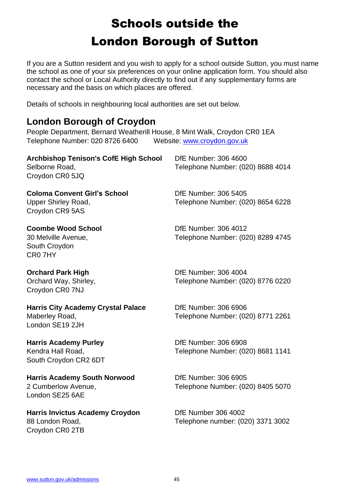# Schools outside the London Borough of Sutton

<span id="page-44-0"></span>If you are a Sutton resident and you wish to apply for a school outside Sutton, you must name the school as one of your six preferences on your online application form. You should also contact the school or Local Authority directly to find out if any supplementary forms are necessary and the basis on which places are offered.

Details of schools in neighbouring local authorities are set out below.

### **London Borough of Croydon**

People Department, Bernard Weatherill House, 8 Mint Walk, Croydon CR0 1EA Telephone Number: 020 8726 6400 Website: [www.croydon.gov.uk](http://www.croydon.gov.uk/)

| <b>Archbishop Tenison's CofE High School</b><br>Selborne Road,<br>Croydon CR0 5JQ    | DfE Number: 306 4600<br>Telephone Number: (020) 8688 4014       |
|--------------------------------------------------------------------------------------|-----------------------------------------------------------------|
| <b>Coloma Convent Girl's School</b><br><b>Upper Shirley Road,</b><br>Croydon CR9 5AS | DfE Number: 306 5405<br>Telephone Number: (020) 8654 6228       |
| <b>Coombe Wood School</b><br>30 Melville Avenue,<br>South Croydon<br>CR07HY          | DfE Number: 306 4012<br>Telephone Number: (020) 8289 4745       |
| <b>Orchard Park High</b><br>Orchard Way, Shirley,<br>Croydon CR0 7NJ                 | DfE Number: 306 4004<br>Telephone Number: (020) 8776 0220       |
| <b>Harris City Academy Crystal Palace</b><br>Maberley Road,<br>London SE19 2JH       | DfE Number: 306 6906<br>Telephone Number: (020) 8771 2261       |
| <b>Harris Academy Purley</b><br>Kendra Hall Road,<br>South Croydon CR2 6DT           | DfE Number: 306 6908<br>Telephone Number: (020) 8681 1141       |
| <b>Harris Academy South Norwood</b><br>2 Cumberlow Avenue,<br>London SE25 6AE        | DfE Number: 306 6905<br>Telephone Number: (020) 8405 5070       |
| <b>Harris Invictus Academy Croydon</b><br>88 London Road,                            | <b>DfE Number 306 4002</b><br>Telephone number: (020) 3371 3002 |

Croydon CR0 2TB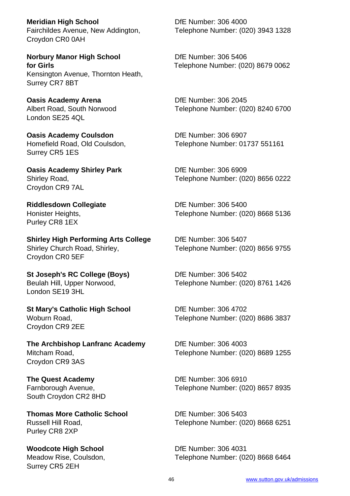**Meridian High School**  DfE Number: 306 4000 Croydon CR0 0AH

**Norbury Manor High School** DfE Number: 306 5406 Kensington Avenue, Thornton Heath, Surrey CR7 8BT

**Oasis Academy Arena** DfE Number: 306 2045 London SE25 4QL

**Oasis Academy Coulsdon DfE Number: 306 6907** Surrey CR5 1ES

**Oasis Academy Shirley Park Community Constrained DfE Number: 306 6909** Croydon CR9 7AL

Purley CR8 1EX

**Shirley High Performing Arts College DfE Number: 306 5407** Shirley Church Road, Shirley, Telephone Number: (020) 8656 9755 Croydon CR0 5EF

**St Joseph's RC College (Boys)** DfE Number: 306 5402 London SE19 3HL

**St Mary's Catholic High School** DfE Number: 306 4702 Croydon CR9 2EE

**The Archbishop Lanfranc Academy** DfE Number: 306 4003 Mitcham Road, Telephone Number: (020) 8689 1255 Croydon CR9 3AS

**The Quest Academy** DfE Number: 306 6910 South Croydon CR2 8HD

**Thomas More Catholic School Community Community Differs Number: 306 5403** Purley CR8 2XP

**Woodcote High School** DfE Number: 306 4031 Surrey CR5 2EH

Fairchildes Avenue, New Addington, Telephone Number: (020) 3943 1328

**for Girls** Telephone Number: (020) 8679 0062

Albert Road, South Norwood Telephone Number: (020) 8240 6700

Homefield Road, Old Coulsdon, Telephone Number: 01737 551161

Shirley Road, Telephone Number: (020) 8656 0222

**Riddlesdown Collegiate Die Die Number: 306 5400** Honister Heights, Telephone Number: (020) 8668 5136

Beulah Hill, Upper Norwood, Telephone Number: (020) 8761 1426

Woburn Road, Telephone Number: (020) 8686 3837

Farnborough Avenue, Telephone Number: (020) 8657 8935

Russell Hill Road, Telephone Number: (020) 8668 6251

Meadow Rise, Coulsdon, Telephone Number: (020) 8668 6464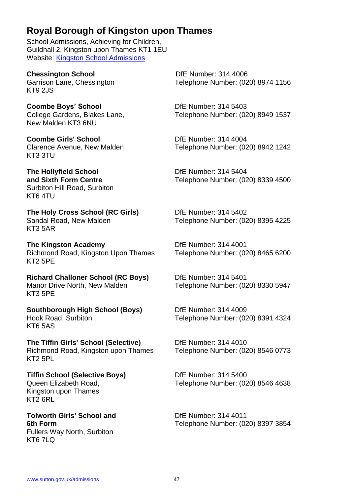### **Royal Borough of Kingston upon Thames**

School Admissions, Achieving for Children, Guildhall 2, Kingston upon Thames KT1 1EU Website: [Kingston School Admissions](https://www.kingston.gov.uk/homepage/5/schools-and-education)

**Chessington School** DfE Number: 314 4006 KT9 2JS

**Coombe Boys' School**  DfE Number: 314 5403 New Malden KT3 6NU

**Coombe Girls' School** DfE Number: 314 4004 KT3 3TU

**The Hollyfield School**  DfE Number: 314 5404 Surbiton Hill Road, Surbiton KT6 4TU

**The Holy Cross School (RC Girls)** DfE Number: 314 5402<br>
Sandal Road, New Malden **Delarge Contract Contract Contract Contract Contract Contract Contract Contract Contr** KT3 5AR

**The Kingston Academy** DfE Number: 314 4001 Richmond Road, Kingston Upon Thames Telephone Number: (020) 8465 6200 KT2 5PE

**Richard Challoner School (RC Boys)** DfE Number: 314 5401 Manor Drive North, New Malden Telephone Number: (020) 8330 5947 KT3 5PE

**Southborough High School (Boys)** DfE Number: 314 4009 KT6 5AS

**The Tiffin Girls' School (Selective)** DfE Number: 314 4010 Richmond Road, Kingston upon Thames Telephone Number: (020) 8546 0773 KT2 5PL

**Tiffin School (Selective Boys)** DfE Number: 314 5400 Kingston upon Thames KT<sub>2</sub> 6RL

**Tolworth Girls' School and <br>
DfE Number: 314 4011** Fullers Way North, Surbiton KT6 7LQ

Garrison Lane, Chessington **Telephone Number: (020) 8974 1156** 

College Gardens, Blakes Lane, Telephone Number: (020) 8949 1537

Clarence Avenue, New Malden Telephone Number: (020) 8942 1242

**and Sixth Form Centre Telephone Number: (020) 8339 4500** 

Telephone Number: (020) 8395 4225

Hook Road, Surbiton Telephone Number: (020) 8391 4324

Queen Elizabeth Road, Telephone Number: (020) 8546 4638

**6th Form** Telephone Number: (020) 8397 3854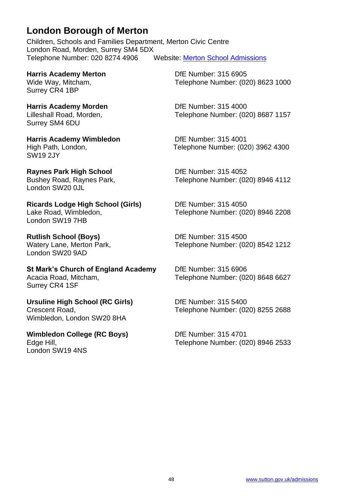### **London Borough of Merton**

Children, Schools and Families Department, Merton Civic Centre London Road, Morden, Surrey SM4 5DX Telephone Number: 020 8274 4906 Website: [Merton School Admissions](http://www.merton.gov.uk/admissions)

**Harris Academy Merton DfE Number: 315 6905** Surrey CR4 1BP

**Harris Academy Morden**  DfE Number: 315 4000 Surrey SM4 6DU

**Harris Academy Wimbledon** DfE Number: 315 4001 SW19 2JY

**Raynes Park High School** DfE Number: 315 4052 London SW20 0JL

**Ricards Lodge High School (Girls)** DfE Number: 315 4050 London SW19 7HB

**Rutlish School (Boys) Dife Number: 315 4500** London SW20 9AD

**St Mark's Church of England Academy** DfE Number: 315 6906 Acacia Road, Mitcham, Telephone Number: (020) 8648 6627 Surrey CR4 1SF

**Ursuline High School (RC Girls)** DfE Number: 315 5400 Wimbledon, London SW20 8HA

**Wimbledon College (RC Boys)** DfE Number: 315 4701 London SW19 4NS

Wide Way, Mitcham, Telephone Number: (020) 8623 1000

Lilleshall Road, Morden, Telephone Number: (020) 8687 1157

High Path, London, Telephone Number: (020) 3962 4300

Bushey Road, Raynes Park, Telephone Number: (020) 8946 4112

Lake Road, Wimbledon, Telephone Number: (020) 8946 2208

Watery Lane, Merton Park, The Telephone Number: (020) 8542 1212

Crescent Road, Telephone Number: (020) 8255 2688

Edge Hill, Telephone Number: (020) 8946 2533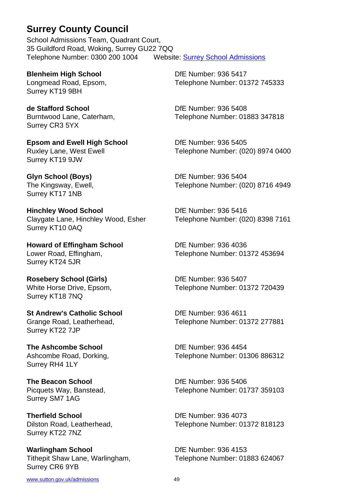### **Surrey County Council**

School Admissions Team, Quadrant Court, 35 Guildford Road, Woking, Surrey GU22 7QQ Telephone Number: 0300 200 1004 Website: [Surrey School Admissions](https://www.surreycc.gov.uk/schools-and-learning/schools/admissions)

Surrey KT19 9BH

**de Stafford School** DfE Number: 936 5408 Surrey CR3 5YX

**Epsom and Ewell High School** DfE Number: 936 5405 Surrey KT19 9JW

Surrey KT17 1NB

**Hinchley Wood School** DfE Number: 936 5416 Claygate Lane, Hinchley Wood, Esher Telephone Number: (020) 8398 7161 Surrey KT10 0AQ

**Howard of Effingham School Dife Number: 936 4036** Surrey KT24 5JR

**Rosebery School (Girls)** DfE Number: 936 5407 Surrey KT18 7NQ

**St Andrew's Catholic School** DfE Number: 936 4611 Surrey KT22 7JP

**The Ashcombe School** DfE Number: 936 4454 Surrey RH4 1LY

**The Beacon School**  DfE Number: 936 5406 Surrey SM7 1AG

**Therfield School**  DfE Number: 936 4073 Surrey KT22 7NZ

**Warlingham School** DfE Number: 936 4153 Surrey CR6 9YB

**Blenheim High School Die Number: 936 5417** Longmead Road, Epsom, Telephone Number: 01372 745333

Burntwood Lane, Caterham, Telephone Number: 01883 347818

Ruxley Lane, West Ewell **Telephone Number: (020) 8974 0400** 

**Glyn School (Boys)** DfE Number: 936 5404 The Kingsway, Ewell, The Kingsway, Ewell, Telephone Number: (020) 8716 4949

Lower Road, Effingham, Telephone Number: 01372 453694

White Horse Drive, Epsom, Telephone Number: 01372 720439

Grange Road, Leatherhead, Telephone Number: 01372 277881

Ashcombe Road, Dorking, Telephone Number: 01306 886312

Picquets Way, Banstead, Telephone Number: 01737 359103

Dilston Road, Leatherhead, Telephone Number: 01372 818123

Tithepit Shaw Lane, Warlingham, Telephone Number: 01883 624067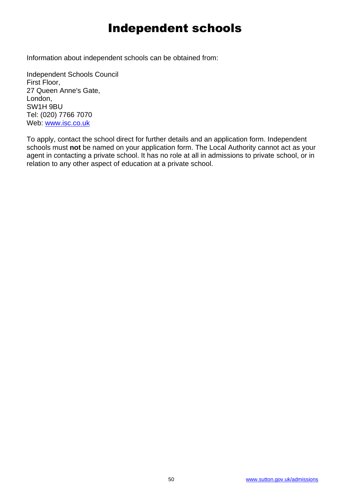# Independent schools

Information about independent schools can be obtained from:

Independent Schools Council First Floor, 27 Queen Anne's Gate, London, SW1H 9BU Tel: (020) 7766 7070 Web: [www.isc.co.uk](http://www.isc.co.uk/)

To apply, contact the school direct for further details and an application form. Independent schools must **not** be named on your application form. The Local Authority cannot act as your agent in contacting a private school. It has no role at all in admissions to private school, or in relation to any other aspect of education at a private school.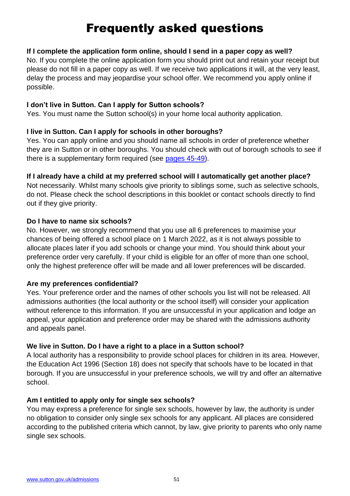# Frequently asked questions

#### <span id="page-50-0"></span>**If I complete the application form online, should I send in a paper copy as well?**

No. If you complete the online application form you should print out and retain your receipt but please do not fill in a paper copy as well. If we receive two applications it will, at the very least, delay the process and may jeopardise your school offer. We recommend you apply online if possible.

#### **I don't live in Sutton. Can I apply for Sutton schools?**

Yes. You must name the Sutton school(s) in your home local authority application.

#### **I live in Sutton. Can I apply for schools in other boroughs?**

Yes. You can apply online and you should name all schools in order of preference whether they are in Sutton or in other boroughs. You should check with out of borough schools to see if there is a supplementary form required (see [pages 45-49\)](#page-44-0).

#### **If I already have a child at my preferred school will I automatically get another place?**

Not necessarily. Whilst many schools give priority to siblings some, such as selective schools, do not. Please check the school descriptions in this booklet or contact schools directly to find out if they give priority.

#### **Do I have to name six schools?**

No. However, we strongly recommend that you use all 6 preferences to maximise your chances of being offered a school place on 1 March 2022, as it is not always possible to allocate places later if you add schools or change your mind. You should think about your preference order very carefully. If your child is eligible for an offer of more than one school, only the highest preference offer will be made and all lower preferences will be discarded.

### **Are my preferences confidential?**

Yes. Your preference order and the names of other schools you list will not be released. All admissions authorities (the local authority or the school itself) will consider your application without reference to this information. If you are unsuccessful in your application and lodge an appeal, your application and preference order may be shared with the admissions authority and appeals panel.

### **We live in Sutton. Do I have a right to a place in a Sutton school?**

A local authority has a responsibility to provide school places for children in its area. However, the Education Act 1996 (Section 18) does not specify that schools have to be located in that borough. If you are unsuccessful in your preference schools, we will try and offer an alternative school.

### **Am I entitled to apply only for single sex schools?**

You may express a preference for single sex schools, however by law, the authority is under no obligation to consider only single sex schools for any applicant. All places are considered according to the published criteria which cannot, by law, give priority to parents who only name single sex schools.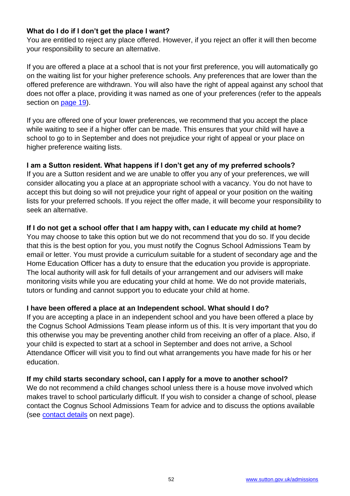### **What do I do if I don't get the place I want?**

You are entitled to reject any place offered. However, if you reject an offer it will then become your responsibility to secure an alternative.

If you are offered a place at a school that is not your first preference, you will automatically go on the waiting list for your higher preference schools. Any preferences that are lower than the offered preference are withdrawn. You will also have the right of appeal against any school that does not offer a place, providing it was named as one of your preferences (refer to the appeals section on [page 19\)](#page-18-0).

If you are offered one of your lower preferences, we recommend that you accept the place while waiting to see if a higher offer can be made. This ensures that your child will have a school to go to in September and does not prejudice your right of appeal or your place on higher preference waiting lists.

### **I am a Sutton resident. What happens if I don't get any of my preferred schools?**

If you are a Sutton resident and we are unable to offer you any of your preferences, we will consider allocating you a place at an appropriate school with a vacancy. You do not have to accept this but doing so will not prejudice your right of appeal or your position on the waiting lists for your preferred schools. If you reject the offer made, it will become your responsibility to seek an alternative.

### **If I do not get a school offer that I am happy with, can I educate my child at home?**

You may choose to take this option but we do not recommend that you do so. If you decide that this is the best option for you, you must notify the Cognus School Admissions Team by email or letter. You must provide a curriculum suitable for a student of secondary age and the Home Education Officer has a duty to ensure that the education you provide is appropriate. The local authority will ask for full details of your arrangement and our advisers will make monitoring visits while you are educating your child at home. We do not provide materials, tutors or funding and cannot support you to educate your child at home.

### **I have been offered a place at an Independent school. What should I do?**

If you are accepting a place in an independent school and you have been offered a place by the Cognus School Admissions Team please inform us of this. It is very important that you do this otherwise you may be preventing another child from receiving an offer of a place. Also, if your child is expected to start at a school in September and does not arrive, a School Attendance Officer will visit you to find out what arrangements you have made for his or her education.

### **If my child starts secondary school, can I apply for a move to another school?**

We do not recommend a child changes school unless there is a house move involved which makes travel to school particularly difficult. If you wish to consider a change of school, please contact the Cognus School Admissions Team for advice and to discuss the options available (see [contact details](#page-52-0) on next page).